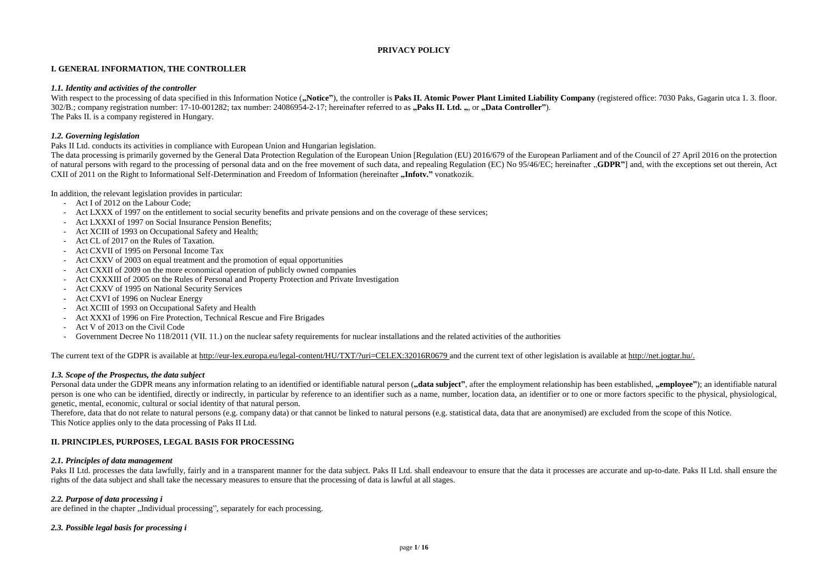# **PRIVACY POLICY**

### **I. GENERAL INFORMATION, THE CONTROLLER**

#### *1.1. Identity and activities of the controller*

With respect to the processing of data specified in this Information Notice ("Notice"), the controller is Paks II. Atomic Power Plant Limited Liability Company (registered office: 7030 Paks, Gagarin utca 1.3. floor. 302/B.; company registration number: 17-10-001282; tax number: 24086954-2-17; hereinafter referred to as **"Paks II. Ltd.** ", or "Data Controller"). The Paks II. is a company registered in Hungary.

### *1.2. Governing legislation*

Paks II Ltd. conducts its activities in compliance with European Union and Hungarian legislation.

The data processing is primarily governed by the General Data Protection Regulation of the European Union [Regulation (EU) 2016/679 of the European Parliament and of the Council of 27 April 2016 on the protection of natural persons with regard to the processing of personal data and on the free movement of such data, and repealing Regulation (EC) No 95/46/EC; hereinafter "**GDPR"**] and, with the exceptions set out therein, Act CXII of 2011 on the Right to Informational Self-Determination and Freedom of Information (hereinafter **"Infotv.**" vonatkozik.

In addition, the relevant legislation provides in particular:

Personal data under the GDPR means any information relating to an identified or identifiable natural person ("data subject", after the employment relationship has been established, "employee"); an identifiable natural person is one who can be identified, directly or indirectly, in particular by reference to an identifier such as a name, number, location data, an identifier or to one or more factors specific to the physical, physiological, genetic, mental, economic, cultural or social identity of that natural person.

- Act I of 2012 on the Labour Code;
- Act LXXX of 1997 on the entitlement to social security benefits and private pensions and on the coverage of these services;
- Act LXXXI of 1997 on Social Insurance Pension Benefits;
- Act XCIII of 1993 on Occupational Safety and Health;
- Act CL of 2017 on the Rules of Taxation.
- Act CXVII of 1995 on Personal Income Tax
- Act CXXV of 2003 on equal treatment and the promotion of equal opportunities
- Act CXXII of 2009 on the more economical operation of publicly owned companies
- Act CXXXIII of 2005 on the Rules of Personal and Property Protection and Private Investigation
- Act CXXV of 1995 on National Security Services
- Act CXVI of 1996 on Nuclear Energy
- Act XCIII of 1993 on Occupational Safety and Health
- Act XXXI of 1996 on Fire Protection, Technical Rescue and Fire Brigades
- Act V of 2013 on the Civil Code
- Government Decree No 118/2011 (VII. 11.) on the nuclear safety requirements for nuclear installations and the related activities of the authorities

The current text of the GDPR is available at [http://eur-lex.europa.eu/legal-content/HU/TXT/?uri=CELEX:32016R0679 a](http://eur-lex.europa.eu/legal-content/HU/TXT/?uri=CELEX:32016R0679)nd the current text of other legislation is available at [http://net.jogtar.hu/.](http://net.jogtar.hu/)

Paks II Ltd. processes the data lawfully, fairly and in a transparent manner for the data subject. Paks II Ltd. shall endeavour to ensure that the data it processes are accurate and up-to-date. Paks II Ltd. shall ensure th rights of the data subject and shall take the necessary measures to ensure that the processing of data is lawful at all stages.

# *1.3. Scope of the Prospectus, the data subject*

Therefore, data that do not relate to natural persons (e.g. company data) or that cannot be linked to natural persons (e.g. statistical data, data that are anonymised) are excluded from the scope of this Notice. This Notice applies only to the data processing of Paks II Ltd.

# **II. PRINCIPLES, PURPOSES, LEGAL BASIS FOR PROCESSING**

### *2.1. Principles of data management*

### *2.2. Purpose of data processing i*

are defined in the chapter ...Individual processing", separately for each processing.

### *2.3. Possible legal basis for processing i*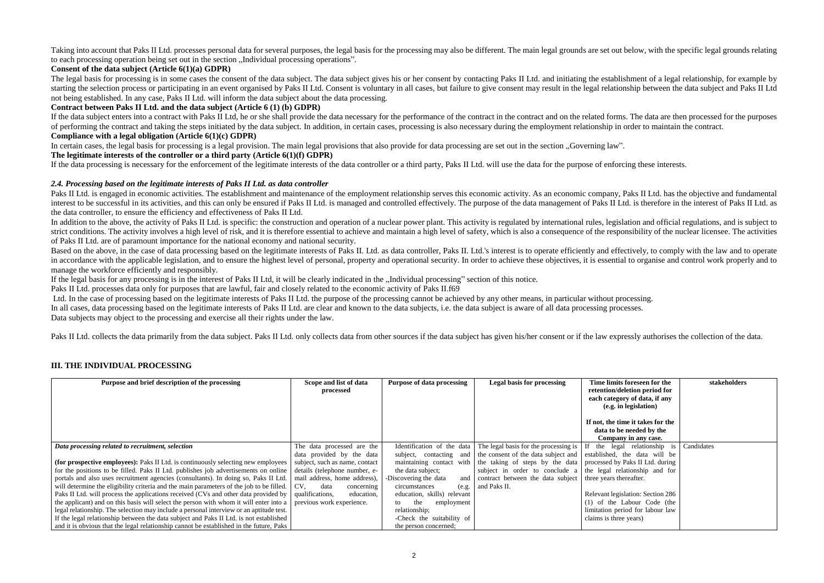Taking into account that Paks II Ltd. processes personal data for several purposes, the legal basis for the processing may also be different. The main legal grounds are set out below, with the specific legal grounds relati to each processing operation being set out in the section ...Individual processing operations".

# **Consent of the data subject (Article 6(1)(a) GDPR)**

The legal basis for processing is in some cases the consent of the data subject. The data subject gives his or her consent by contacting Paks II Ltd. and initiating the establishment of a legal relationship, for example by starting the selection process or participating in an event organised by Paks II Ltd. Consent is voluntary in all cases, but failure to give consent may result in the legal relationship between the data subject and Paks II not being established. In any case, Paks II Ltd. will inform the data subject about the data processing.

If the data subject enters into a contract with Paks II Ltd, he or she shall provide the data necessary for the performance of the contract in the contract and on the related forms. The data are then processed for the purp of performing the contract and taking the steps initiated by the data subject. In addition, in certain cases, processing is also necessary during the employment relationship in order to maintain the contract. **Compliance with a legal obligation (Article 6(1)(c) GDPR)**

In certain cases, the legal basis for processing is a legal provision. The main legal provisions that also provide for data processing are set out in the section "Governing law". **The legitimate interests of the controller or a third party (Article 6(1)(f) GDPR)**

# **Contract between Paks II Ltd. and the data subject (Article 6 (1) (b) GDPR)**

Paks II Ltd. is engaged in economic activities. The establishment and maintenance of the employment relationship serves this economic activity. As an economic company, Paks II Ltd. has the objective and fundamental interest to be successful in its activities, and this can only be ensured if Paks II Ltd, is managed and controlled effectively. The purpose of the data management of Paks II Ltd, is therefore in the interest of Paks II Lt the data controller, to ensure the efficiency and effectiveness of Paks II Ltd.

In addition to the above, the activity of Paks II Ltd. is specific: the construction and operation of a nuclear power plant. This activity is regulated by international rules, legislation and official regulations, and is s strict conditions. The activity involves a high level of risk, and it is therefore essential to achieve and maintain a high level of safety, which is also a consequence of the responsibility of the nuclear licensee. The ac of Paks II Ltd. are of paramount importance for the national economy and national security.

Based on the above, in the case of data processing based on the legitimate interests of Paks II. Ltd. as data controller, Paks II. Ltd.'s interest is to operate efficiently and effectively, to comply with the law and to op in accordance with the applicable legislation, and to ensure the highest level of personal, property and operational security. In order to achieve these objectives, it is essential to organise and control work properly and manage the workforce efficiently and responsibly.

If the legal basis for any processing is in the interest of Paks II Ltd, it will be clearly indicated in the "Individual processing" section of this notice.

If the data processing is necessary for the enforcement of the legitimate interests of the data controller or a third party, Paks II Ltd. will use the data for the purpose of enforcing these interests.

# *2.4. Processing based on the legitimate interests of Paks II Ltd. as data controller*

Ltd. In the case of processing based on the legitimate interests of Paks II Ltd. the purpose of the processing cannot be achieved by any other means, in particular without processing. In all cases, data processing based on the legitimate interests of Paks II Ltd. are clear and known to the data subjects, i.e. the data subject is aware of all data processing processes. Data subjects may object to the processing and exercise all their rights under the law.

Paks II Ltd. collects the data primarily from the data subject. Paks II Ltd. only collects data from other sources if the data subject has given his/her consent or if the law expressly authorises the collection of the data

Paks II Ltd. processes data only for purposes that are lawful, fair and closely related to the economic activity of Paks II.f69

# **III. THE INDIVIDUAL PROCESSING**

| Purpose and brief description of the processing                                                                          | Scope and list of data<br>processed | <b>Purpose of data processing</b> | <b>Legal basis for processing</b>                                                                                               | Time limits foreseen for the<br>retention/deletion period for<br>each category of data, if any<br>(e.g. in legislation)<br>If not, the time it takes for the<br>data to be needed by the<br>Company in any case. | stakeholders |
|--------------------------------------------------------------------------------------------------------------------------|-------------------------------------|-----------------------------------|---------------------------------------------------------------------------------------------------------------------------------|------------------------------------------------------------------------------------------------------------------------------------------------------------------------------------------------------------------|--------------|
| Data processing related to recruitment, selection                                                                        | The data processed are the          |                                   | Identification of the data The legal basis for the processing is $\begin{bmatrix} 1 \end{bmatrix}$ if the legal relationship is |                                                                                                                                                                                                                  | Candidates   |
|                                                                                                                          | data provided by the data           |                                   | subject, contacting and the consent of the data subject and                                                                     | established, the data will be                                                                                                                                                                                    |              |
| (for prospective employees): Paks II Ltd. is continuously selecting new employees                                        | subject, such as name, contact      |                                   | maintaining contact with the taking of steps by the data                                                                        | processed by Paks II Ltd. during                                                                                                                                                                                 |              |
| for the positions to be filled. Paks II Ltd. publishes job advertisements on online                                      | details (telephone number, e-       | the data subject;                 | subject in order to conclude a                                                                                                  | the legal relationship and for                                                                                                                                                                                   |              |
| portals and also uses recruitment agencies (consultants). In doing so, Paks II Ltd.                                      | mail address, home address),        | Discovering the data              | and contract between the data subject                                                                                           | three years thereafter.                                                                                                                                                                                          |              |
| will determine the eligibility criteria and the main parameters of the job to be filled.                                 | CV.<br>data<br>concerning           | circumstances                     | (e.g.   and Paks II.                                                                                                            |                                                                                                                                                                                                                  |              |
| Paks II Ltd. will process the applications received (CVs and other data provided by $\vert$ qualifications,              | education,                          | education, skills) relevant       |                                                                                                                                 | Relevant legislation: Section 286                                                                                                                                                                                |              |
| the applicant) and on this basis will select the person with whom it will enter into a $\vert$ previous work experience. |                                     | employment<br>the<br>to           |                                                                                                                                 | (1) of the Labour Code (the                                                                                                                                                                                      |              |
| legal relationship. The selection may include a personal interview or an aptitude test.                                  |                                     | relationship;                     |                                                                                                                                 | limitation period for labour law                                                                                                                                                                                 |              |
| If the legal relationship between the data subject and Paks II Ltd. is not established                                   |                                     | -Check the suitability of         |                                                                                                                                 | claims is three years)                                                                                                                                                                                           |              |
| and it is obvious that the legal relationship cannot be established in the future, Paks                                  |                                     | the person concerned;             |                                                                                                                                 |                                                                                                                                                                                                                  |              |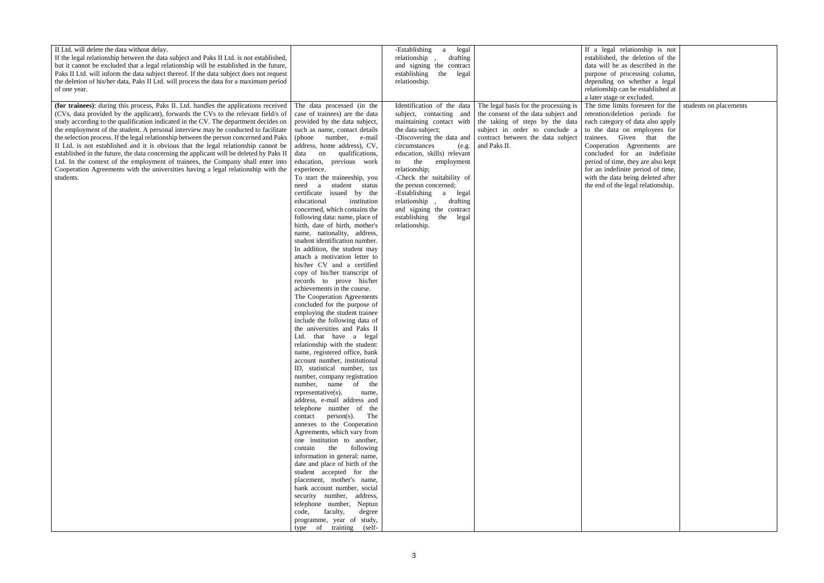| II Ltd. will delete the data without delay.                                                                            |                                | -Establishing<br>legal<br>$\mathbf{a}$ |                                       | If a legal relationship is not     |                        |
|------------------------------------------------------------------------------------------------------------------------|--------------------------------|----------------------------------------|---------------------------------------|------------------------------------|------------------------|
| If the legal relationship between the data subject and Paks II Ltd. is not established,                                |                                | relationship<br>drafting               |                                       | established, the deletion of the   |                        |
| but it cannot be excluded that a legal relationship will be established in the future,                                 |                                | and signing the contract               |                                       | data will be as described in the   |                        |
| Paks II Ltd. will inform the data subject thereof. If the data subject does not request                                |                                | establishing<br>the<br>legal           |                                       | purpose of processing column,      |                        |
| the deletion of his/her data, Paks II Ltd. will process the data for a maximum period                                  |                                | relationship.                          |                                       | depending on whether a legal       |                        |
|                                                                                                                        |                                |                                        |                                       | relationship can be established at |                        |
| of one year.                                                                                                           |                                |                                        |                                       |                                    |                        |
|                                                                                                                        |                                |                                        |                                       | a later stage or excluded.         |                        |
| (for trainees): during this process, Paks II. Ltd. handles the applications received                                   | The data processed (in the     | Identification of the data             | The legal basis for the processing is | The time limits foreseen for the   | students on placements |
| (CVs, data provided by the applicant), forwards the CVs to the relevant field/s of                                     | case of trainees) are the data | subject, contacting and                | the consent of the data subject and   | retention/deletion periods for     |                        |
| study according to the qualification indicated in the CV. The department decides on                                    | provided by the data subject,  | maintaining contact with               | the taking of steps by the data       | each category of data also apply   |                        |
| the employment of the student. A personal interview may be conducted to facilitate                                     | such as name, contact details  | the data subject;                      | subject in order to conclude a        | to the data on employees for       |                        |
| the selection process. If the legal relationship between the person concerned and Paks (phone                          | number, e-mail                 | -Discovering the data and              | contract between the data subject     | trainees. Given that the           |                        |
|                                                                                                                        |                                |                                        |                                       |                                    |                        |
| II Ltd. is not established and it is obvious that the legal relationship cannot be $\vert$ address, home address), CV, |                                | circumstances<br>(e.g.                 | and Paks II.                          | Cooperation Agreements are         |                        |
| established in the future, the data concerning the applicant will be deleted by Paks II $\vert$ data on                | qualifications,                | education, skills) relevant            |                                       | concluded for an indefinite        |                        |
| Ltd. In the context of the employment of trainees, the Company shall enter into                                        | education, previous work       | to the<br>employment                   |                                       | period of time, they are also kept |                        |
| Cooperation Agreements with the universities having a legal relationship with the                                      | experience.                    | relationship;                          |                                       | for an indefinite period of time,  |                        |
| students.                                                                                                              | To start the traineeship, you  | -Check the suitability of              |                                       | with the data being deleted after  |                        |
|                                                                                                                        | a student status<br>need       | the person concerned;                  |                                       | the end of the legal relationship. |                        |
|                                                                                                                        | certificate issued by the      | -Establishing<br>a<br>legal            |                                       |                                    |                        |
|                                                                                                                        | institution<br>educational     | relationship<br>drafting               |                                       |                                    |                        |
|                                                                                                                        |                                |                                        |                                       |                                    |                        |
|                                                                                                                        | concerned, which contains the  | and signing the contract               |                                       |                                    |                        |
|                                                                                                                        | following data: name, place of | establishing<br>the<br>legal           |                                       |                                    |                        |
|                                                                                                                        | birth, date of birth, mother's | relationship.                          |                                       |                                    |                        |
|                                                                                                                        | name, nationality, address,    |                                        |                                       |                                    |                        |
|                                                                                                                        | student identification number. |                                        |                                       |                                    |                        |
|                                                                                                                        | In addition, the student may   |                                        |                                       |                                    |                        |
|                                                                                                                        | attach a motivation letter to  |                                        |                                       |                                    |                        |
|                                                                                                                        | his/her CV and a certified     |                                        |                                       |                                    |                        |
|                                                                                                                        |                                |                                        |                                       |                                    |                        |
|                                                                                                                        | copy of his/her transcript of  |                                        |                                       |                                    |                        |
|                                                                                                                        | records to prove his/her       |                                        |                                       |                                    |                        |
|                                                                                                                        | achievements in the course.    |                                        |                                       |                                    |                        |
|                                                                                                                        | The Cooperation Agreements     |                                        |                                       |                                    |                        |
|                                                                                                                        | concluded for the purpose of   |                                        |                                       |                                    |                        |
|                                                                                                                        | employing the student trainee  |                                        |                                       |                                    |                        |
|                                                                                                                        | include the following data of  |                                        |                                       |                                    |                        |
|                                                                                                                        | the universities and Paks II   |                                        |                                       |                                    |                        |
|                                                                                                                        |                                |                                        |                                       |                                    |                        |
|                                                                                                                        | Ltd. that have a legal         |                                        |                                       |                                    |                        |
|                                                                                                                        | relationship with the student: |                                        |                                       |                                    |                        |
|                                                                                                                        | name, registered office, bank  |                                        |                                       |                                    |                        |
|                                                                                                                        | account number, institutional  |                                        |                                       |                                    |                        |
|                                                                                                                        | ID, statistical number, tax    |                                        |                                       |                                    |                        |
|                                                                                                                        | number, company registration   |                                        |                                       |                                    |                        |
|                                                                                                                        | number, name of the            |                                        |                                       |                                    |                        |
|                                                                                                                        | representative(s),<br>name,    |                                        |                                       |                                    |                        |
|                                                                                                                        | address, e-mail address and    |                                        |                                       |                                    |                        |
|                                                                                                                        | telephone number of the        |                                        |                                       |                                    |                        |
|                                                                                                                        |                                |                                        |                                       |                                    |                        |
|                                                                                                                        | $contact$ person(s). The       |                                        |                                       |                                    |                        |
|                                                                                                                        | annexes to the Cooperation     |                                        |                                       |                                    |                        |
|                                                                                                                        | Agreements, which vary from    |                                        |                                       |                                    |                        |
|                                                                                                                        | one institution to another,    |                                        |                                       |                                    |                        |
|                                                                                                                        | contain the following          |                                        |                                       |                                    |                        |
|                                                                                                                        | information in general: name,  |                                        |                                       |                                    |                        |
|                                                                                                                        | date and place of birth of the |                                        |                                       |                                    |                        |
|                                                                                                                        | student accepted for the       |                                        |                                       |                                    |                        |
|                                                                                                                        |                                |                                        |                                       |                                    |                        |
|                                                                                                                        | placement, mother's name,      |                                        |                                       |                                    |                        |
|                                                                                                                        | bank account number, social    |                                        |                                       |                                    |                        |
|                                                                                                                        | security number, address,      |                                        |                                       |                                    |                        |
|                                                                                                                        | telephone number, Neptun       |                                        |                                       |                                    |                        |
|                                                                                                                        | code,<br>faculty,<br>degree    |                                        |                                       |                                    |                        |
|                                                                                                                        | programme, year of study,      |                                        |                                       |                                    |                        |
|                                                                                                                        | type of training (self-        |                                        |                                       |                                    |                        |
|                                                                                                                        |                                |                                        |                                       |                                    |                        |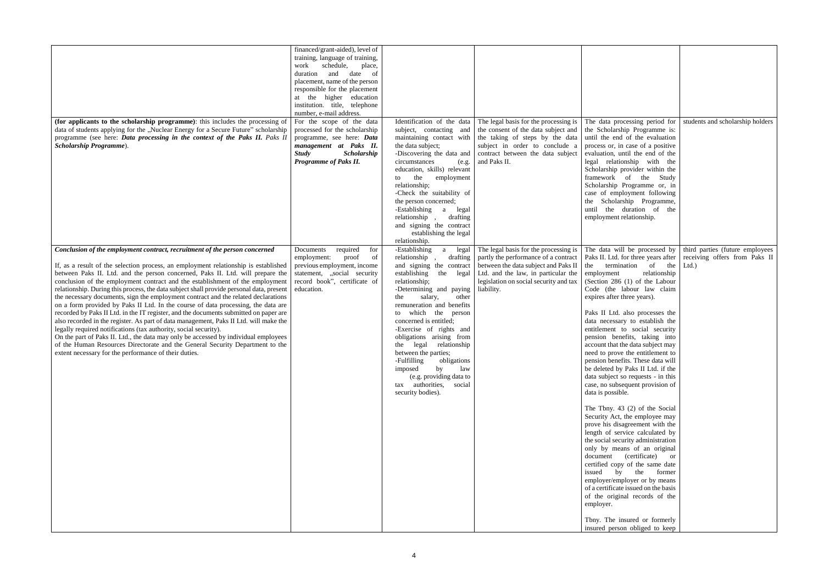| (for applicants to the scholarship programme): this includes the processing of<br>data of students applying for the "Nuclear Energy for a Secure Future" scholarship<br>programme (see here: Data processing in the context of the Paks II. Paks II<br>Scholarship Programme).                                                                                                                                                                                                                                                                                                                                                                                                                                                                                                                                                                                                                                                                                                                                                                                                                     | financed/grant-aided), level of<br>training, language of training,<br>schedule,<br>work<br>place,<br>duration and<br>date<br>-of<br>placement, name of the person<br>responsible for the placement<br>at the higher education<br>institution. title, telephone<br>number, e-mail address.<br>For the scope of the data<br>processed for the scholarship<br>programme, see here: Data<br>management at Paks II.<br><b>Study</b><br><b>Scholarship</b><br>Programme of Paks II. | Identification of the data<br>subject, contacting and<br>the data subject;<br>-Discovering the data and<br>circumstances<br>(e.g.<br>education, skills) relevant<br>the<br>employment<br>to<br>relationship;<br>-Check the suitability of<br>the person concerned;<br>-Establishing<br>a<br>legal                                                                                                                                                                                                                     | The legal basis for the processing is<br>the consent of the data subject and<br>maintaining contact with the taking of steps by the data<br>subject in order to conclude a<br>contract between the data subject<br>and Paks II. | The data processing period for<br>the Scholarship Programme is:<br>until the end of the evaluation<br>process or, in case of a positive<br>evaluation, until the end of the<br>legal relationship with the<br>Scholarship provider within the<br>framework of the Study<br>Scholarship Programme or, in<br>case of employment following<br>the Scholarship Programme,<br>until the duration of the                                                                                                                                                                                                                                                                                                                                                                                                                                                                                                                                                                                                                                                                                                                                | students and scholarship holders                                         |
|----------------------------------------------------------------------------------------------------------------------------------------------------------------------------------------------------------------------------------------------------------------------------------------------------------------------------------------------------------------------------------------------------------------------------------------------------------------------------------------------------------------------------------------------------------------------------------------------------------------------------------------------------------------------------------------------------------------------------------------------------------------------------------------------------------------------------------------------------------------------------------------------------------------------------------------------------------------------------------------------------------------------------------------------------------------------------------------------------|-------------------------------------------------------------------------------------------------------------------------------------------------------------------------------------------------------------------------------------------------------------------------------------------------------------------------------------------------------------------------------------------------------------------------------------------------------------------------------|-----------------------------------------------------------------------------------------------------------------------------------------------------------------------------------------------------------------------------------------------------------------------------------------------------------------------------------------------------------------------------------------------------------------------------------------------------------------------------------------------------------------------|---------------------------------------------------------------------------------------------------------------------------------------------------------------------------------------------------------------------------------|-----------------------------------------------------------------------------------------------------------------------------------------------------------------------------------------------------------------------------------------------------------------------------------------------------------------------------------------------------------------------------------------------------------------------------------------------------------------------------------------------------------------------------------------------------------------------------------------------------------------------------------------------------------------------------------------------------------------------------------------------------------------------------------------------------------------------------------------------------------------------------------------------------------------------------------------------------------------------------------------------------------------------------------------------------------------------------------------------------------------------------------|--------------------------------------------------------------------------|
|                                                                                                                                                                                                                                                                                                                                                                                                                                                                                                                                                                                                                                                                                                                                                                                                                                                                                                                                                                                                                                                                                                    |                                                                                                                                                                                                                                                                                                                                                                                                                                                                               | relationship<br>drafting<br>and signing the contract<br>establishing the legal<br>relationship.                                                                                                                                                                                                                                                                                                                                                                                                                       |                                                                                                                                                                                                                                 | employment relationship.                                                                                                                                                                                                                                                                                                                                                                                                                                                                                                                                                                                                                                                                                                                                                                                                                                                                                                                                                                                                                                                                                                          |                                                                          |
| Conclusion of the employment contract, recruitment of the person concerned<br>If, as a result of the selection process, an employment relationship is established<br>between Paks II. Ltd. and the person concerned, Paks II. Ltd. will prepare the<br>conclusion of the employment contract and the establishment of the employment<br>relationship. During this process, the data subject shall provide personal data, present<br>the necessary documents, sign the employment contract and the related declarations<br>on a form provided by Paks II Ltd. In the course of data processing, the data are<br>recorded by Paks II Ltd. in the IT register, and the documents submitted on paper are<br>also recorded in the register. As part of data management, Paks II Ltd. will make the<br>legally required notifications (tax authority, social security).<br>On the part of Paks II. Ltd., the data may only be accessed by individual employees<br>of the Human Resources Directorate and the General Security Department to the<br>extent necessary for the performance of their duties. | required<br>for<br>Documents<br>proof<br>employment:<br>of<br>previous employment, income<br>statement, "social security<br>record book", certificate of<br>education.                                                                                                                                                                                                                                                                                                        | -Establishing<br>legal<br>a<br>relationship<br>drafting<br>and signing the contract<br>establishing<br>the<br>legal<br>relationship;<br>-Determining and paying<br>salary,<br>other<br>the<br>remuneration and benefits<br>to which the<br>person<br>concerned is entitled;<br>-Exercise of rights and<br>obligations arising from<br>the legal relationship<br>between the parties;<br>-Fulfilling<br>obligations<br>by<br>law<br>imposed<br>(e.g. providing data to<br>tax authorities, social<br>security bodies). | The legal basis for the processing is<br>partly the performance of a contract<br>between the data subject and Paks II<br>Ltd. and the law, in particular the<br>legislation on social security and tax<br>liability.            | The data will be processed by<br>Paks II. Ltd. for three years after<br>termination of<br>the<br>the<br>relationship<br>employment<br>(Section 286 (1) of the Labour<br>Code (the labour law claim<br>expires after three years).<br>Paks II Ltd. also processes the<br>data necessary to establish the<br>entitlement to social security<br>pension benefits, taking into<br>account that the data subject may<br>need to prove the entitlement to<br>pension benefits. These data will<br>be deleted by Paks II Ltd. if the<br>data subject so requests - in this<br>case, no subsequent provision of<br>data is possible.<br>The Tbny. $43$ (2) of the Social<br>Security Act, the employee may<br>prove his disagreement with the<br>length of service calculated by<br>the social security administration<br>only by means of an original<br>document (certificate) or<br>certified copy of the same date<br>issued by the former<br>employer/employer or by means<br>of a certificate issued on the basis<br>of the original records of the<br>employer.<br>Tbny. The insured or formerly<br>insured person obliged to keep | third parties (future employees<br>receiving offers from Paks II<br>Ltd. |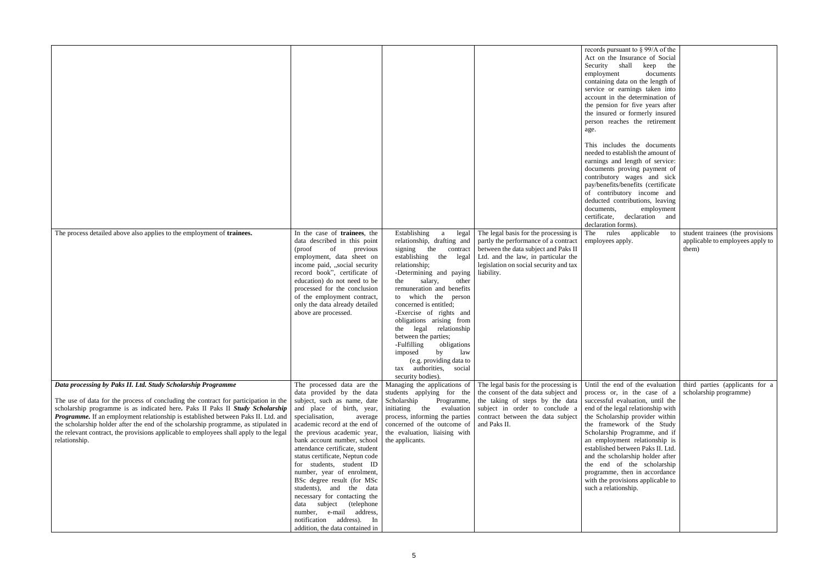| The process detailed above also applies to the employment of trainees.                                                                                                                                                                                                                                                                                                                                                                                      | In the case of trainees, the<br>data described in this point<br>of<br>(proof<br>previous<br>employment, data sheet on<br>income paid, "social security<br>record book", certificate of<br>education) do not need to be<br>processed for the conclusion<br>of the employment contract,<br>only the data already detailed<br>above are processed.                                                                                                                                                                                                                         | Establishing<br>a<br>legal<br>relationship, drafting and<br>signing the contract<br>establishing the legal<br>relationship;<br>-Determining and paying<br>salary,<br>the<br>other<br>remuneration and benefits<br>to which the person<br>concerned is entitled;<br>-Exercise of rights and<br>obligations arising from | The legal basis for the processing is<br>partly the performance of a contract<br>between the data subject and Paks II<br>Ltd. and the law, in particular the<br>legislation on social security and tax<br>liability. | records pursuant to § 99/A of the<br>Act on the Insurance of Social<br>Security shall keep the<br>documents<br>employment<br>containing data on the length of<br>service or earnings taken into<br>account in the determination of<br>the pension for five years after<br>the insured or formerly insured<br>person reaches the retirement<br>age.<br>This includes the documents<br>needed to establish the amount of<br>earnings and length of service:<br>documents proving payment of<br>contributory wages and sick<br>pay/benefits/benefits (certificate<br>of contributory income and<br>deducted contributions, leaving<br>documents,<br>employment<br>certificate, declaration and<br>declaration forms).<br>applicable<br>The<br>rules<br>to  <br>employees apply. | student trainees (the provisions<br>applicable to employees apply to<br>them) |
|-------------------------------------------------------------------------------------------------------------------------------------------------------------------------------------------------------------------------------------------------------------------------------------------------------------------------------------------------------------------------------------------------------------------------------------------------------------|-------------------------------------------------------------------------------------------------------------------------------------------------------------------------------------------------------------------------------------------------------------------------------------------------------------------------------------------------------------------------------------------------------------------------------------------------------------------------------------------------------------------------------------------------------------------------|------------------------------------------------------------------------------------------------------------------------------------------------------------------------------------------------------------------------------------------------------------------------------------------------------------------------|----------------------------------------------------------------------------------------------------------------------------------------------------------------------------------------------------------------------|------------------------------------------------------------------------------------------------------------------------------------------------------------------------------------------------------------------------------------------------------------------------------------------------------------------------------------------------------------------------------------------------------------------------------------------------------------------------------------------------------------------------------------------------------------------------------------------------------------------------------------------------------------------------------------------------------------------------------------------------------------------------------|-------------------------------------------------------------------------------|
|                                                                                                                                                                                                                                                                                                                                                                                                                                                             |                                                                                                                                                                                                                                                                                                                                                                                                                                                                                                                                                                         | the legal relationship<br>between the parties;<br>-Fulfilling<br>obligations<br>imposed by law<br>(e.g. providing data to<br>tax authorities, social<br>security bodies).                                                                                                                                              |                                                                                                                                                                                                                      |                                                                                                                                                                                                                                                                                                                                                                                                                                                                                                                                                                                                                                                                                                                                                                              |                                                                               |
| Data processing by Paks II. Ltd. Study Scholarship Programme                                                                                                                                                                                                                                                                                                                                                                                                | The processed data are the                                                                                                                                                                                                                                                                                                                                                                                                                                                                                                                                              | Managing the applications of                                                                                                                                                                                                                                                                                           | The legal basis for the processing is                                                                                                                                                                                | Until the end of the evaluation                                                                                                                                                                                                                                                                                                                                                                                                                                                                                                                                                                                                                                                                                                                                              | third parties (applicants for a                                               |
| The use of data for the process of concluding the contract for participation in the<br>scholarship programme is as indicated here. Paks II Paks II Study Scholarship<br>Programme. If an employment relationship is established between Paks II. Ltd. and<br>the scholarship holder after the end of the scholarship programme, as stipulated in<br>the relevant contract, the provisions applicable to employees shall apply to the legal<br>relationship. | data provided by the data<br>subject, such as name, date<br>and place of birth, year,<br>specialisation,<br>average<br>academic record at the end of<br>the previous academic year,<br>bank account number, school<br>attendance certificate, student<br>status certificate, Neptun code<br>for students, student ID<br>number, year of enrolment,<br>BSc degree result (for MSc<br>students), and the data<br>necessary for contacting the<br>(telephone<br>subject<br>data<br>number, e-mail address,<br>notification address). In<br>addition, the data contained in | students applying for the<br>Scholarship<br>Programme,<br>initiating<br>the evaluation<br>process, informing the parties<br>concerned of the outcome of<br>the evaluation, liaising with<br>the applicants.                                                                                                            | the consent of the data subject and<br>the taking of steps by the data<br>subject in order to conclude a<br>contract between the data subject<br>and Paks II.                                                        | process or, in the case of a<br>successful evaluation, until the<br>end of the legal relationship with<br>the Scholarship provider within<br>the framework of the Study<br>Scholarship Programme, and if<br>an employment relationship is<br>established between Paks II. Ltd.<br>and the scholarship holder after<br>the end of the scholarship<br>programme, then in accordance<br>with the provisions applicable to<br>such a relationship.                                                                                                                                                                                                                                                                                                                               | scholarship programme)                                                        |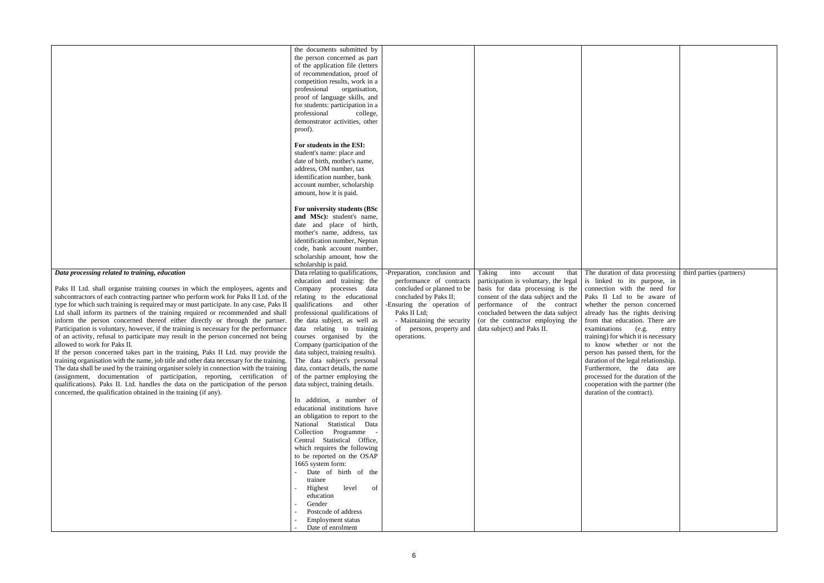| Data processing related to training, education<br>Paks II Ltd. shall organise training courses in which the employees, agents and<br>subcontractors of each contracting partner who perform work for Paks II Ltd. of the<br>type for which such training is required may or must participate. In any case, Paks II<br>Ltd shall inform its partners of the training required or recommended and shall<br>inform the person concerned thereof either directly or through the partner.<br>Participation is voluntary, however, if the training is necessary for the performance<br>of an activity, refusal to participate may result in the person concerned not being<br>allowed to work for Paks II.<br>If the person concerned takes part in the training, Paks II Ltd. may provide the<br>training organisation with the name, job title and other data necessary for the training.<br>The data shall be used by the training organiser solely in connection with the training<br>(assignment, documentation of participation, reporting, certification of<br>qualifications). Paks II. Ltd. handles the data on the participation of the person<br>concerned, the qualification obtained in the training (if any). | the documents submitted by<br>the person concerned as part<br>of the application file (letters<br>of recommendation, proof of<br>competition results, work in a<br>professional organisation,<br>proof of language skills, and<br>for students: participation in a<br>professional<br>college,<br>demonstrator activities, other<br>proof).<br>For students in the ESI:<br>student's name: place and<br>date of birth, mother's name,<br>address, OM number, tax<br>identification number, bank<br>account number, scholarship<br>amount, how it is paid.<br>For university students (BSc<br>and MSc): student's name,<br>date and place of birth,<br>mother's name, address, tax<br>identification number, Neptun<br>code, bank account number,<br>scholarship amount, how the<br>scholarship is paid.<br>Data relating to qualifications,<br>education and training: the<br>Company processes data<br>relating to the educational<br>qualifications and other<br>professional qualifications of<br>the data subject, as well as<br>data relating to training<br>courses organised by the<br>Company (participation of the<br>data subject, training results).<br>The data subject's personal<br>data, contact details, the name<br>of the partner employing the<br>data subject, training details.<br>In addition, a number of<br>educational institutions have<br>an obligation to report to the<br>National Statistical Data<br>Collection Programme -<br>Central Statistical Office,<br>which requires the following<br>to be reported on the OSAP<br>1665 system form:<br>Date of birth of the<br>trainee<br>Highest<br>level<br>of<br>education<br>Gender<br>Postcode of address<br><b>Employment status</b><br>Date of enrolment | -Preparation, conclusion and Taking<br>performance of contracts<br>concluded or planned to be<br>concluded by Paks II;<br>-Ensuring the operation of<br>Paks II Ltd;<br>- Maintaining the security<br>of persons, property and<br>operations. | into<br>account<br>participation is voluntary, the legal is linked to its purpose, in<br>basis for data processing is the<br>consent of the data subject and the<br>performance of the contract<br>concluded between the data subject<br>(or the contractor employing the<br>data subject) and Paks II. | that The duration of data processing<br>connection with the need for<br>Paks II Ltd to be aware of<br>whether the person concerned<br>already has the rights deriving<br>from that education. There are<br>examinations<br>(e.g.<br>entry<br>training) for which it is necessary<br>to know whether or not the<br>person has passed them, for the<br>duration of the legal relationship.<br>Furthermore, the data are<br>processed for the duration of the<br>cooperation with the partner (the<br>duration of the contract). | third parties (partners) |
|-----------------------------------------------------------------------------------------------------------------------------------------------------------------------------------------------------------------------------------------------------------------------------------------------------------------------------------------------------------------------------------------------------------------------------------------------------------------------------------------------------------------------------------------------------------------------------------------------------------------------------------------------------------------------------------------------------------------------------------------------------------------------------------------------------------------------------------------------------------------------------------------------------------------------------------------------------------------------------------------------------------------------------------------------------------------------------------------------------------------------------------------------------------------------------------------------------------------------|------------------------------------------------------------------------------------------------------------------------------------------------------------------------------------------------------------------------------------------------------------------------------------------------------------------------------------------------------------------------------------------------------------------------------------------------------------------------------------------------------------------------------------------------------------------------------------------------------------------------------------------------------------------------------------------------------------------------------------------------------------------------------------------------------------------------------------------------------------------------------------------------------------------------------------------------------------------------------------------------------------------------------------------------------------------------------------------------------------------------------------------------------------------------------------------------------------------------------------------------------------------------------------------------------------------------------------------------------------------------------------------------------------------------------------------------------------------------------------------------------------------------------------------------------------------------------------------------------------------------------------------------------------------------------------------------------------------------------------------|-----------------------------------------------------------------------------------------------------------------------------------------------------------------------------------------------------------------------------------------------|---------------------------------------------------------------------------------------------------------------------------------------------------------------------------------------------------------------------------------------------------------------------------------------------------------|-------------------------------------------------------------------------------------------------------------------------------------------------------------------------------------------------------------------------------------------------------------------------------------------------------------------------------------------------------------------------------------------------------------------------------------------------------------------------------------------------------------------------------|--------------------------|
|-----------------------------------------------------------------------------------------------------------------------------------------------------------------------------------------------------------------------------------------------------------------------------------------------------------------------------------------------------------------------------------------------------------------------------------------------------------------------------------------------------------------------------------------------------------------------------------------------------------------------------------------------------------------------------------------------------------------------------------------------------------------------------------------------------------------------------------------------------------------------------------------------------------------------------------------------------------------------------------------------------------------------------------------------------------------------------------------------------------------------------------------------------------------------------------------------------------------------|------------------------------------------------------------------------------------------------------------------------------------------------------------------------------------------------------------------------------------------------------------------------------------------------------------------------------------------------------------------------------------------------------------------------------------------------------------------------------------------------------------------------------------------------------------------------------------------------------------------------------------------------------------------------------------------------------------------------------------------------------------------------------------------------------------------------------------------------------------------------------------------------------------------------------------------------------------------------------------------------------------------------------------------------------------------------------------------------------------------------------------------------------------------------------------------------------------------------------------------------------------------------------------------------------------------------------------------------------------------------------------------------------------------------------------------------------------------------------------------------------------------------------------------------------------------------------------------------------------------------------------------------------------------------------------------------------------------------------------------|-----------------------------------------------------------------------------------------------------------------------------------------------------------------------------------------------------------------------------------------------|---------------------------------------------------------------------------------------------------------------------------------------------------------------------------------------------------------------------------------------------------------------------------------------------------------|-------------------------------------------------------------------------------------------------------------------------------------------------------------------------------------------------------------------------------------------------------------------------------------------------------------------------------------------------------------------------------------------------------------------------------------------------------------------------------------------------------------------------------|--------------------------|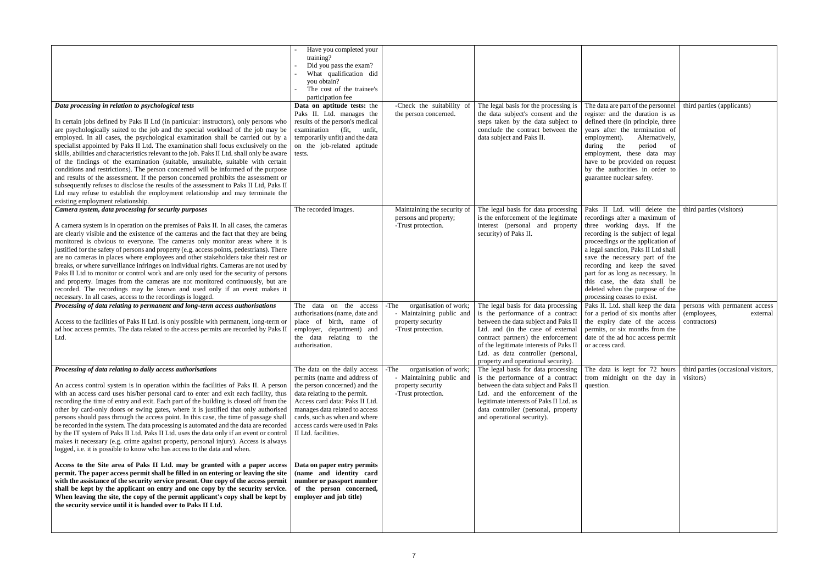| Data processing in relation to psychological tests<br>In certain jobs defined by Paks II Ltd (in particular: instructors), only persons who<br>are psychologically suited to the job and the special workload of the job may be<br>employed. In all cases, the psychological examination shall be carried out by a<br>specialist appointed by Paks II Ltd. The examination shall focus exclusively on the<br>skills, abilities and characteristics relevant to the job. Paks II Ltd. shall only be aware<br>of the findings of the examination (suitable, unsuitable, suitable with certain<br>conditions and restrictions). The person concerned will be informed of the purpose<br>and results of the assessment. If the person concerned prohibits the assessment or<br>subsequently refuses to disclose the results of the assessment to Paks II Ltd, Paks II<br>Ltd may refuse to establish the employment relationship and may terminate the                                                                                                                                                                                                                                                                                                                                                                                                                       | Have you completed your<br>training?<br>Did you pass the exam?<br>What qualification did<br>you obtain?<br>The cost of the trainee's<br>participation fee<br>Data on aptitude tests: the<br>Paks II. Ltd. manages the<br>results of the person's medical<br>examination (fit,<br>unfit,<br>temporarily unfit) and the data<br>on the job-related aptitude<br>tests.                                                                       | -Check the suitability of<br>the person concerned.                                                   | The legal basis for the processing is<br>the data subject's consent and the<br>steps taken by the data subject to<br>conclude the contract between the<br>data subject and Paks II.                                                                                                                               | The data are part of the personnel<br>register and the duration is as<br>defined there (in principle, three<br>years after the termination of<br>employment).<br>Alternatively,<br>the<br>period<br>during<br>of<br>employment, these data may<br>have to be provided on request<br>by the authorities in order to<br>guarantee nuclear safety.                                                                                                  | third parties (applicants)                                               |
|--------------------------------------------------------------------------------------------------------------------------------------------------------------------------------------------------------------------------------------------------------------------------------------------------------------------------------------------------------------------------------------------------------------------------------------------------------------------------------------------------------------------------------------------------------------------------------------------------------------------------------------------------------------------------------------------------------------------------------------------------------------------------------------------------------------------------------------------------------------------------------------------------------------------------------------------------------------------------------------------------------------------------------------------------------------------------------------------------------------------------------------------------------------------------------------------------------------------------------------------------------------------------------------------------------------------------------------------------------------------------|-------------------------------------------------------------------------------------------------------------------------------------------------------------------------------------------------------------------------------------------------------------------------------------------------------------------------------------------------------------------------------------------------------------------------------------------|------------------------------------------------------------------------------------------------------|-------------------------------------------------------------------------------------------------------------------------------------------------------------------------------------------------------------------------------------------------------------------------------------------------------------------|--------------------------------------------------------------------------------------------------------------------------------------------------------------------------------------------------------------------------------------------------------------------------------------------------------------------------------------------------------------------------------------------------------------------------------------------------|--------------------------------------------------------------------------|
| existing employment relationship.                                                                                                                                                                                                                                                                                                                                                                                                                                                                                                                                                                                                                                                                                                                                                                                                                                                                                                                                                                                                                                                                                                                                                                                                                                                                                                                                        |                                                                                                                                                                                                                                                                                                                                                                                                                                           |                                                                                                      |                                                                                                                                                                                                                                                                                                                   |                                                                                                                                                                                                                                                                                                                                                                                                                                                  |                                                                          |
| Camera system, data processing for security purposes<br>A camera system is in operation on the premises of Paks II. In all cases, the cameras<br>are clearly visible and the existence of the cameras and the fact that they are being<br>monitored is obvious to everyone. The cameras only monitor areas where it is<br>justified for the safety of persons and property (e.g. access points, pedestrians). There<br>are no cameras in places where employees and other stakeholders take their rest or<br>breaks, or where surveillance infringes on individual rights. Cameras are not used by<br>Paks II Ltd to monitor or control work and are only used for the security of persons<br>and property. Images from the cameras are not monitored continuously, but are<br>recorded. The recordings may be known and used only if an event makes it<br>necessary. In all cases, access to the recordings is logged.                                                                                                                                                                                                                                                                                                                                                                                                                                                  | The recorded images.                                                                                                                                                                                                                                                                                                                                                                                                                      | Maintaining the security of<br>persons and property;<br>-Trust protection.                           | The legal basis for data processing<br>is the enforcement of the legitimate<br>interest (personal and property<br>security) of Paks II.                                                                                                                                                                           | Paks II Ltd. will delete the   third parties (visitors)<br>recordings after a maximum of<br>three working days. If the<br>recording is the subject of legal<br>proceedings or the application of<br>a legal sanction, Paks II Ltd shall<br>save the necessary part of the<br>recording and keep the saved<br>part for as long as necessary. In<br>this case, the data shall be<br>deleted when the purpose of the<br>processing ceases to exist. |                                                                          |
|                                                                                                                                                                                                                                                                                                                                                                                                                                                                                                                                                                                                                                                                                                                                                                                                                                                                                                                                                                                                                                                                                                                                                                                                                                                                                                                                                                          | The data on the access                                                                                                                                                                                                                                                                                                                                                                                                                    |                                                                                                      |                                                                                                                                                                                                                                                                                                                   |                                                                                                                                                                                                                                                                                                                                                                                                                                                  |                                                                          |
| Processing of data relating to permanent and long-term access authorisations<br>Access to the facilities of Paks II Ltd. is only possible with permanent, long-term or<br>ad hoc access permits. The data related to the access permits are recorded by Paks II<br>Ltd.                                                                                                                                                                                                                                                                                                                                                                                                                                                                                                                                                                                                                                                                                                                                                                                                                                                                                                                                                                                                                                                                                                  | authorisations (name, date and<br>place of birth, name of<br>employer, department) and<br>the data relating to the<br>authorisation.                                                                                                                                                                                                                                                                                                      | organisation of work;<br>-The<br>- Maintaining public and<br>property security<br>-Trust protection. | The legal basis for data processing<br>is the performance of a contract<br>between the data subject and Paks II<br>Ltd. and (in the case of external<br>contract partners) the enforcement<br>of the legitimate interests of Paks II<br>Ltd. as data controller (personal,<br>property and operational security). | Paks II. Ltd. shall keep the data<br>for a period of six months after<br>the expiry date of the access<br>permits, or six months from the<br>date of the ad hoc access permit<br>or access card.                                                                                                                                                                                                                                                 | persons with permanent access<br>(employees,<br>external<br>contractors) |
| Processing of data relating to daily access authorisations<br>An access control system is in operation within the facilities of Paks II. A person<br>with an access card uses his/her personal card to enter and exit each facility, thus<br>recording the time of entry and exit. Each part of the building is closed off from the<br>other by card-only doors or swing gates, where it is justified that only authorised<br>persons should pass through the access point. In this case, the time of passage shall<br>be recorded in the system. The data processing is automated and the data are recorded<br>by the IT system of Paks II Ltd. Paks II Ltd. uses the data only if an event or control<br>makes it necessary (e.g. crime against property, personal injury). Access is always<br>logged, i.e. it is possible to know who has access to the data and when.<br>Access to the Site area of Paks II Ltd. may be granted with a paper access<br>permit. The paper access permit shall be filled in on entering or leaving the site<br>with the assistance of the security service present. One copy of the access permit<br>shall be kept by the applicant on entry and one copy by the security service.<br>When leaving the site, the copy of the permit applicant's copy shall be kept by<br>the security service until it is handed over to Paks II Ltd. | The data on the daily access<br>permits (name and address of<br>the person concerned) and the<br>data relating to the permit.<br>Access card data: Paks II Ltd.<br>manages data related to access<br>cards, such as when and where<br>access cards were used in Paks<br>II Ltd. facilities.<br>Data on paper entry permits<br>(name and identity card<br>number or passport number<br>of the person concerned,<br>employer and job title) | -The<br>organisation of work;<br>- Maintaining public and<br>property security<br>-Trust protection. | The legal basis for data processing<br>is the performance of a contract<br>between the data subject and Paks II<br>Ltd. and the enforcement of the<br>legitimate interests of Paks II Ltd. as<br>data controller (personal, property<br>and operational security).                                                | The data is kept for 72 hours<br>from midnight on the day in<br>question.                                                                                                                                                                                                                                                                                                                                                                        | third parties (occasional visitors,<br>visitors)                         |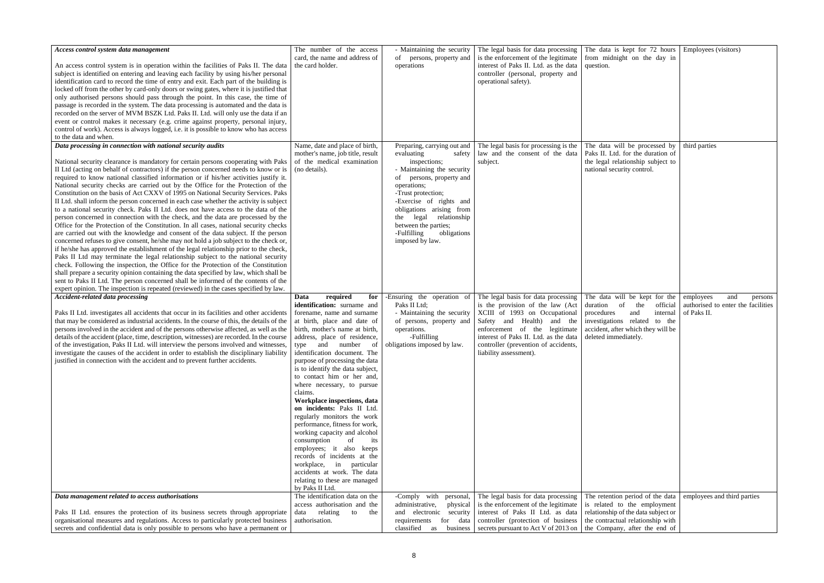| The number of the access<br>- Maintaining the security<br>The legal basis for data processing<br>The data is kept for 72 hours<br>Employees (visitors)<br>Access control system data management<br>is the enforcement of the legitimate<br>card, the name and address of<br>persons, property and<br>from midnight on the day in<br>of<br>interest of Paks II. Ltd. as the data<br>the card holder.<br>An access control system is in operation within the facilities of Paks II. The data<br>operations<br>question.<br>subject is identified on entering and leaving each facility by using his/her personal<br>controller (personal, property and<br>identification card to record the time of entry and exit. Each part of the building is<br>operational safety).<br>locked off from the other by card-only doors or swing gates, where it is justified that<br>only authorised persons should pass through the point. In this case, the time of<br>passage is recorded in the system. The data processing is automated and the data is<br>recorded on the server of MVM BSZK Ltd. Paks II. Ltd. will only use the data if an<br>event or control makes it necessary (e.g. crime against property, personal injury,<br>control of work). Access is always logged, i.e. it is possible to know who has access<br>to the data and when.<br>Data processing in connection with national security audits<br>The legal basis for processing is the<br>Name, date and place of birth,<br>The data will be processed by<br>third parties<br>Preparing, carrying out and<br>law and the consent of the data<br>Paks II. Ltd. for the duration of<br>mother's name, job title, result<br>evaluating<br>safety<br>of the medical examination<br>National security clearance is mandatory for certain persons cooperating with Paks<br>inspections;<br>subject.<br>the legal relationship subject to<br>II Ltd (acting on behalf of contractors) if the person concerned needs to know or is<br>(no details).<br>national security control.<br>- Maintaining the security<br>required to know national classified information or if his/her activities justify it.<br>of persons, property and<br>National security checks are carried out by the Office for the Protection of the<br>operations;<br>Constitution on the basis of Act CXXV of 1995 on National Security Services. Paks<br>-Trust protection;<br>II Ltd. shall inform the person concerned in each case whether the activity is subject<br>-Exercise of rights and<br>to a national security check. Paks II Ltd. does not have access to the data of the<br>obligations arising from<br>person concerned in connection with the check, and the data are processed by the<br>relationship<br>legal<br>the<br>Office for the Protection of the Constitution. In all cases, national security checks<br>between the parties;<br>are carried out with the knowledge and consent of the data subject. If the person<br>-Fulfilling<br>obligations<br>concerned refuses to give consent, he/she may not hold a job subject to the check or,<br>imposed by law.<br>if he/she has approved the establishment of the legal relationship prior to the check,<br>Paks II Ltd may terminate the legal relationship subject to the national security<br>check. Following the inspection, the Office for the Protection of the Constitution<br>shall prepare a security opinion containing the data specified by law, which shall be<br>sent to Paks II Ltd. The person concerned shall be informed of the contents of the<br>expert opinion. The inspection is repeated (reviewed) in the cases specified by law.<br><b>Accident-related data processing</b><br>The legal basis for data processing<br>required<br>-Ensuring the operation of<br>The data will be kept for the<br>Data<br>for<br>employees<br>and<br>persons<br>identification: surname and<br>Paks II Ltd:<br>is the provision of the law (Act<br>authorised to enter the facilities<br>the<br>duration<br>of<br>official<br>XCIII of 1993 on Occupational<br>of Paks II.<br>Paks II Ltd. investigates all accidents that occur in its facilities and other accidents<br>forename, name and surname<br>- Maintaining the security<br>procedures<br>and<br>internal<br>that may be considered as industrial accidents. In the course of this, the details of the<br>at birth, place and date of<br>Safety and Health) and the<br>of persons, property and<br>investigations related to the<br>persons involved in the accident and of the persons otherwise affected, as well as the<br>birth, mother's name at birth,<br>enforcement of the legitimate<br>accident, after which they will be<br>operations.<br>details of the accident (place, time, description, witnesses) are recorded. In the course<br>-Fulfilling<br>interest of Paks II. Ltd. as the data<br>deleted immediately.<br>address, place of residence,<br>of the investigation, Paks II Ltd. will interview the persons involved and witnesses,<br>type and number of<br>obligations imposed by law.<br>controller (prevention of accidents,<br>investigate the causes of the accident in order to establish the disciplinary liability<br>identification document. The<br>liability assessment).<br>justified in connection with the accident and to prevent further accidents.<br>purpose of processing the data<br>is to identify the data subject,<br>to contact him or her and,<br>where necessary, to pursue<br>claims.<br>Workplace inspections, data<br>on incidents: Paks II Ltd.<br>regularly monitors the work<br>performance, fitness for work,<br>working capacity and alcohol<br>consumption<br>of<br>its<br>employees; it also keeps<br>records of incidents at the<br>workplace, in particular<br>accidents at work. The data<br>relating to these are managed<br>by Paks II Ltd.<br>Data management related to access authorisations<br>The identification data on the<br>-Comply with<br>The legal basis for data processing<br>The retention period of the data<br>employees and third parties<br>personal,<br>is the enforcement of the legitimate<br>is related to the employment<br>access authorisation and the<br>administrative,<br>physical<br>relationship of the data subject or<br>Paks II Ltd. ensures the protection of its business secrets through appropriate<br>relating to<br>and electronic security<br>interest of Paks II Ltd. as data<br>data<br>the<br>organisational measures and regulations. Access to particularly protected business<br>the contractual relationship with<br>authorisation.<br>data<br>controller (protection of business<br>requirements<br>for<br>secrets and confidential data is only possible to persons who have a permanent or<br>the Company, after the end of<br>classified<br>secrets pursuant to Act V of 2013 on<br>business<br>as |  |  |  |
|---------------------------------------------------------------------------------------------------------------------------------------------------------------------------------------------------------------------------------------------------------------------------------------------------------------------------------------------------------------------------------------------------------------------------------------------------------------------------------------------------------------------------------------------------------------------------------------------------------------------------------------------------------------------------------------------------------------------------------------------------------------------------------------------------------------------------------------------------------------------------------------------------------------------------------------------------------------------------------------------------------------------------------------------------------------------------------------------------------------------------------------------------------------------------------------------------------------------------------------------------------------------------------------------------------------------------------------------------------------------------------------------------------------------------------------------------------------------------------------------------------------------------------------------------------------------------------------------------------------------------------------------------------------------------------------------------------------------------------------------------------------------------------------------------------------------------------------------------------------------------------------------------------------------------------------------------------------------------------------------------------------------------------------------------------------------------------------------------------------------------------------------------------------------------------------------------------------------------------------------------------------------------------------------------------------------------------------------------------------------------------------------------------------------------------------------------------------------------------------------------------------------------------------------------------------------------------------------------------------------------------------------------------------------------------------------------------------------------------------------------------------------------------------------------------------------------------------------------------------------------------------------------------------------------------------------------------------------------------------------------------------------------------------------------------------------------------------------------------------------------------------------------------------------------------------------------------------------------------------------------------------------------------------------------------------------------------------------------------------------------------------------------------------------------------------------------------------------------------------------------------------------------------------------------------------------------------------------------------------------------------------------------------------------------------------------------------------------------------------------------------------------------------------------------------------------------------------------------------------------------------------------------------------------------------------------------------------------------------------------------------------------------------------------------------------------------------------------------------------------------------------------------------------------------------------------------------------------------------------------------------------------------------------------------------------------------------------------------------------------------------------------------------------------------------------------------------------------------------------------------------------------------------------------------------------------------------------------------------------------------------------------------------------------------------------------------------------------------------------------------------------------------------------------------------------------------------------------------------------------------------------------------------------------------------------------------------------------------------------------------------------------------------------------------------------------------------------------------------------------------------------------------------------------------------------------------------------------------------------------------------------------------------------------------------------------------------------------------------------------------------------------------------------------------------------------------------------------------------------------------------------------------------------------------------------------------------------------------------------------------------------------------------------------------------------------------------------------------------------------------------------------------------------------------------------------------------------------------------------------------------------------------------------------------------------------------------------------------------------------------------------------------------------------------------------------------------------------------------------------------------------------------------------------------------------------------------------------------------------------------------------------------------------------------------------------------------------------------------------------------------------------------------------------------------------------------------------------------------------------------------------------------------------------------------------------------------------------------------------------------------------------------------------------------------------------------------------------------------------------------------------------------------------------------------------------------------------------------------------------------------------------|--|--|--|
|                                                                                                                                                                                                                                                                                                                                                                                                                                                                                                                                                                                                                                                                                                                                                                                                                                                                                                                                                                                                                                                                                                                                                                                                                                                                                                                                                                                                                                                                                                                                                                                                                                                                                                                                                                                                                                                                                                                                                                                                                                                                                                                                                                                                                                                                                                                                                                                                                                                                                                                                                                                                                                                                                                                                                                                                                                                                                                                                                                                                                                                                                                                                                                                                                                                                                                                                                                                                                                                                                                                                                                                                                                                                                                                                                                                                                                                                                                                                                                                                                                                                                                                                                                                                                                                                                                                                                                                                                                                                                                                                                                                                                                                                                                                                                                                                                                                                                                                                                                                                                                                                                                                                                                                                                                                                                                                                                                                                                                                                                                                                                                                                                                                                                                                                                                                                                                                                                                                                                                                                                                                                                                                                                                                                                                                                                                                                                                                                                                                                                                                                                                                                                                                                                                                                                                                                                                                                                             |  |  |  |
|                                                                                                                                                                                                                                                                                                                                                                                                                                                                                                                                                                                                                                                                                                                                                                                                                                                                                                                                                                                                                                                                                                                                                                                                                                                                                                                                                                                                                                                                                                                                                                                                                                                                                                                                                                                                                                                                                                                                                                                                                                                                                                                                                                                                                                                                                                                                                                                                                                                                                                                                                                                                                                                                                                                                                                                                                                                                                                                                                                                                                                                                                                                                                                                                                                                                                                                                                                                                                                                                                                                                                                                                                                                                                                                                                                                                                                                                                                                                                                                                                                                                                                                                                                                                                                                                                                                                                                                                                                                                                                                                                                                                                                                                                                                                                                                                                                                                                                                                                                                                                                                                                                                                                                                                                                                                                                                                                                                                                                                                                                                                                                                                                                                                                                                                                                                                                                                                                                                                                                                                                                                                                                                                                                                                                                                                                                                                                                                                                                                                                                                                                                                                                                                                                                                                                                                                                                                                                             |  |  |  |
|                                                                                                                                                                                                                                                                                                                                                                                                                                                                                                                                                                                                                                                                                                                                                                                                                                                                                                                                                                                                                                                                                                                                                                                                                                                                                                                                                                                                                                                                                                                                                                                                                                                                                                                                                                                                                                                                                                                                                                                                                                                                                                                                                                                                                                                                                                                                                                                                                                                                                                                                                                                                                                                                                                                                                                                                                                                                                                                                                                                                                                                                                                                                                                                                                                                                                                                                                                                                                                                                                                                                                                                                                                                                                                                                                                                                                                                                                                                                                                                                                                                                                                                                                                                                                                                                                                                                                                                                                                                                                                                                                                                                                                                                                                                                                                                                                                                                                                                                                                                                                                                                                                                                                                                                                                                                                                                                                                                                                                                                                                                                                                                                                                                                                                                                                                                                                                                                                                                                                                                                                                                                                                                                                                                                                                                                                                                                                                                                                                                                                                                                                                                                                                                                                                                                                                                                                                                                                             |  |  |  |
|                                                                                                                                                                                                                                                                                                                                                                                                                                                                                                                                                                                                                                                                                                                                                                                                                                                                                                                                                                                                                                                                                                                                                                                                                                                                                                                                                                                                                                                                                                                                                                                                                                                                                                                                                                                                                                                                                                                                                                                                                                                                                                                                                                                                                                                                                                                                                                                                                                                                                                                                                                                                                                                                                                                                                                                                                                                                                                                                                                                                                                                                                                                                                                                                                                                                                                                                                                                                                                                                                                                                                                                                                                                                                                                                                                                                                                                                                                                                                                                                                                                                                                                                                                                                                                                                                                                                                                                                                                                                                                                                                                                                                                                                                                                                                                                                                                                                                                                                                                                                                                                                                                                                                                                                                                                                                                                                                                                                                                                                                                                                                                                                                                                                                                                                                                                                                                                                                                                                                                                                                                                                                                                                                                                                                                                                                                                                                                                                                                                                                                                                                                                                                                                                                                                                                                                                                                                                                             |  |  |  |
|                                                                                                                                                                                                                                                                                                                                                                                                                                                                                                                                                                                                                                                                                                                                                                                                                                                                                                                                                                                                                                                                                                                                                                                                                                                                                                                                                                                                                                                                                                                                                                                                                                                                                                                                                                                                                                                                                                                                                                                                                                                                                                                                                                                                                                                                                                                                                                                                                                                                                                                                                                                                                                                                                                                                                                                                                                                                                                                                                                                                                                                                                                                                                                                                                                                                                                                                                                                                                                                                                                                                                                                                                                                                                                                                                                                                                                                                                                                                                                                                                                                                                                                                                                                                                                                                                                                                                                                                                                                                                                                                                                                                                                                                                                                                                                                                                                                                                                                                                                                                                                                                                                                                                                                                                                                                                                                                                                                                                                                                                                                                                                                                                                                                                                                                                                                                                                                                                                                                                                                                                                                                                                                                                                                                                                                                                                                                                                                                                                                                                                                                                                                                                                                                                                                                                                                                                                                                                             |  |  |  |
|                                                                                                                                                                                                                                                                                                                                                                                                                                                                                                                                                                                                                                                                                                                                                                                                                                                                                                                                                                                                                                                                                                                                                                                                                                                                                                                                                                                                                                                                                                                                                                                                                                                                                                                                                                                                                                                                                                                                                                                                                                                                                                                                                                                                                                                                                                                                                                                                                                                                                                                                                                                                                                                                                                                                                                                                                                                                                                                                                                                                                                                                                                                                                                                                                                                                                                                                                                                                                                                                                                                                                                                                                                                                                                                                                                                                                                                                                                                                                                                                                                                                                                                                                                                                                                                                                                                                                                                                                                                                                                                                                                                                                                                                                                                                                                                                                                                                                                                                                                                                                                                                                                                                                                                                                                                                                                                                                                                                                                                                                                                                                                                                                                                                                                                                                                                                                                                                                                                                                                                                                                                                                                                                                                                                                                                                                                                                                                                                                                                                                                                                                                                                                                                                                                                                                                                                                                                                                             |  |  |  |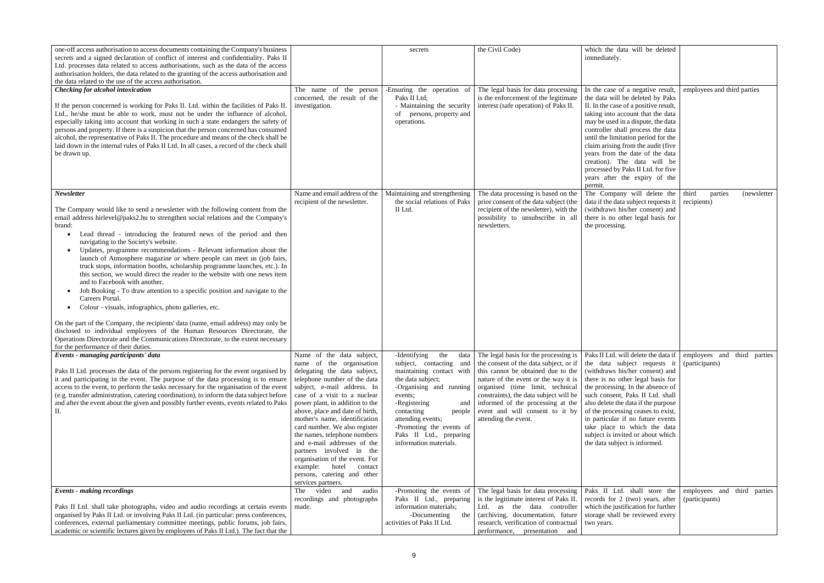| one-off access authorisation to access documents containing the Company's business<br>secrets and a signed declaration of conflict of interest and confidentiality. Paks II<br>Ltd. processes data related to access authorisations, such as the data of the access<br>authorisation holders, the data related to the granting of the access authorisation and<br>the data related to the use of the access authorisation.                                                                                                                                                                                                                                                                                                                                                                                                                                                                                                                                                                                                                                                                                        |                                                                                                                                                                                                                                                                                                                                                                                                                                                                                                                                             | secrets                                                                                                                                                                                                                                                                                    | the Civil Code)                                                                                                                                                                                                                                                                                                                                  | which the data will be deleted<br>immediately.                                                                                                                                                                                                                                                                                                                                                                                                                  |                                                 |
|-------------------------------------------------------------------------------------------------------------------------------------------------------------------------------------------------------------------------------------------------------------------------------------------------------------------------------------------------------------------------------------------------------------------------------------------------------------------------------------------------------------------------------------------------------------------------------------------------------------------------------------------------------------------------------------------------------------------------------------------------------------------------------------------------------------------------------------------------------------------------------------------------------------------------------------------------------------------------------------------------------------------------------------------------------------------------------------------------------------------|---------------------------------------------------------------------------------------------------------------------------------------------------------------------------------------------------------------------------------------------------------------------------------------------------------------------------------------------------------------------------------------------------------------------------------------------------------------------------------------------------------------------------------------------|--------------------------------------------------------------------------------------------------------------------------------------------------------------------------------------------------------------------------------------------------------------------------------------------|--------------------------------------------------------------------------------------------------------------------------------------------------------------------------------------------------------------------------------------------------------------------------------------------------------------------------------------------------|-----------------------------------------------------------------------------------------------------------------------------------------------------------------------------------------------------------------------------------------------------------------------------------------------------------------------------------------------------------------------------------------------------------------------------------------------------------------|-------------------------------------------------|
| <b>Checking for alcohol intoxication</b><br>If the person concerned is working for Paks II. Ltd. within the facilities of Paks II<br>Ltd., he/she must be able to work, must not be under the influence of alcohol,<br>especially taking into account that working in such a state endangers the safety of<br>persons and property. If there is a suspicion that the person concerned has consumed<br>alcohol, the representative of Paks II. The procedure and means of the check shall be<br>laid down in the internal rules of Paks II Ltd. In all cases, a record of the check shall<br>be drawn up.                                                                                                                                                                                                                                                                                                                                                                                                                                                                                                          | The name of the person<br>concerned, the result of the<br>investigation.                                                                                                                                                                                                                                                                                                                                                                                                                                                                    | Ensuring the operation of<br>Paks II Ltd;<br>- Maintaining the security<br>of persons, property and<br>operations.                                                                                                                                                                         | The legal basis for data processing<br>is the enforcement of the legitimate<br>interest (safe operation) of Paks II.                                                                                                                                                                                                                             | In the case of a negative result,<br>the data will be deleted by Paks<br>II. In the case of a positive result,<br>taking into account that the data<br>may be used in a dispute, the data<br>controller shall process the data<br>until the limitation period for the<br>claim arising from the audit (five<br>years from the date of the data<br>creation). The data will be<br>processed by Paks II Ltd. for five<br>years after the expiry of the<br>permit. | employees and third parties                     |
| Newsletter<br>The Company would like to send a newsletter with the following content from the<br>email address hirlevel@paks2.hu to strengthen social relations and the Company's<br>brand:<br>Lead thread - introducing the featured news of the period and then<br>navigating to the Society's website.<br>Updates, programme recommendations - Relevant information about the<br>launch of Atmosphere magazine or where people can meet us (job fairs,<br>truck stops, information booths, scholarship programme launches, etc.). In<br>this section, we would direct the reader to the website with one news item<br>and to Facebook with another.<br>Job Booking - To draw attention to a specific position and navigate to the<br>Careers Portal.<br>Colour - visuals, infographics, photo galleries, etc.<br>On the part of the Company, the recipients' data (name, email address) may only be<br>disclosed to individual employees of the Human Resources Directorate, the<br>Operations Directorate and the Communications Directorate, to the extent necessary<br>for the performance of their duties. | Name and email address of the<br>recipient of the newsletter.                                                                                                                                                                                                                                                                                                                                                                                                                                                                               | Maintaining and strengthening<br>the social relations of Paks<br>II Ltd.                                                                                                                                                                                                                   | The data processing is based on the<br>prior consent of the data subject (the<br>recipient of the newsletter), with the<br>possibility to unsubscribe in all<br>newsletters.                                                                                                                                                                     | The Company will delete the<br>data if the data subject requests it<br>(withdraws his/her consent) and<br>there is no other legal basis for<br>the processing.                                                                                                                                                                                                                                                                                                  | third<br>parties<br>(newsletter)<br>recipients) |
| Events - managing participants' data<br>Paks II Ltd. processes the data of the persons registering for the event organised by<br>it and participating in the event. The purpose of the data processing is to ensure<br>access to the event, to perform the tasks necessary for the organisation of the event<br>(e.g. transfer administration, catering coordination), to inform the data subject before<br>and after the event about the given and possibly further events, events related to Paks<br>$\mathbf{II}$ .                                                                                                                                                                                                                                                                                                                                                                                                                                                                                                                                                                                            | Name of the data subject,<br>name of the organisation<br>delegating the data subject,<br>telephone number of the data<br>subject, e-mail address. In<br>case of a visit to a nuclear<br>power plant, in addition to the<br>above, place and date of birth,<br>mother's name, identification<br>card number. We also register<br>the names, telephone numbers<br>and e-mail addresses of the<br>partners involved in the<br>organisation of the event. For<br>example: hotel<br>contact<br>persons, catering and other<br>services partners. | -Identifying<br>the<br>subject, contacting and<br>maintaining contact with<br>the data subject;<br>-Organising and running<br>events;<br>-Registering<br>and<br>contacting<br>people<br>attending events;<br>-Promoting the events of<br>Paks II Ltd., preparing<br>information materials. | data The legal basis for the processing is<br>the consent of the data subject, or if<br>this cannot be obtained due to the<br>nature of the event or the way it is<br>organised (time limit, technical<br>constraints), the data subject will be<br>informed of the processing at the<br>event and will consent to it by<br>attending the event. | Paks II Ltd. will delete the data if<br>the data subject requests<br>(withdraws his/her consent) and<br>there is no other legal basis for<br>the processing. In the absence of<br>such consent, Paks II Ltd. shall<br>also delete the data if the purpose<br>of the processing ceases to exist,<br>in particular if no future events<br>take place to which the data<br>subject is invited or about which<br>the data subject is informed.                      | employees and third parties<br>(participants)   |
| <b>Events - making recordings</b><br>Paks II Ltd. shall take photographs, video and audio recordings at certain events<br>organised by Paks II Ltd. or involving Paks II Ltd. (in particular: press conferences,<br>conferences, external parliamentary committee meetings, public forums, job fairs,<br>academic or scientific lectures given by employees of Paks II Ltd.). The fact that the                                                                                                                                                                                                                                                                                                                                                                                                                                                                                                                                                                                                                                                                                                                   | The video<br>and<br>audio<br>recordings and photographs<br>made.                                                                                                                                                                                                                                                                                                                                                                                                                                                                            | -Promoting the events of<br>Paks II Ltd., preparing<br>information materials;<br>-Documenting<br>the<br>activities of Paks II Ltd.                                                                                                                                                         | The legal basis for data processing<br>is the legitimate interest of Paks II.<br>as the data controller<br>Ltd.<br>(archiving, documentation, future<br>research, verification of contractual<br>performance, presentation and                                                                                                                   | Paks II Ltd. shall store the<br>records for 2 (two) years, after<br>which the justification for further<br>storage shall be reviewed every<br>two years.                                                                                                                                                                                                                                                                                                        | employees and third parties<br>(participants)   |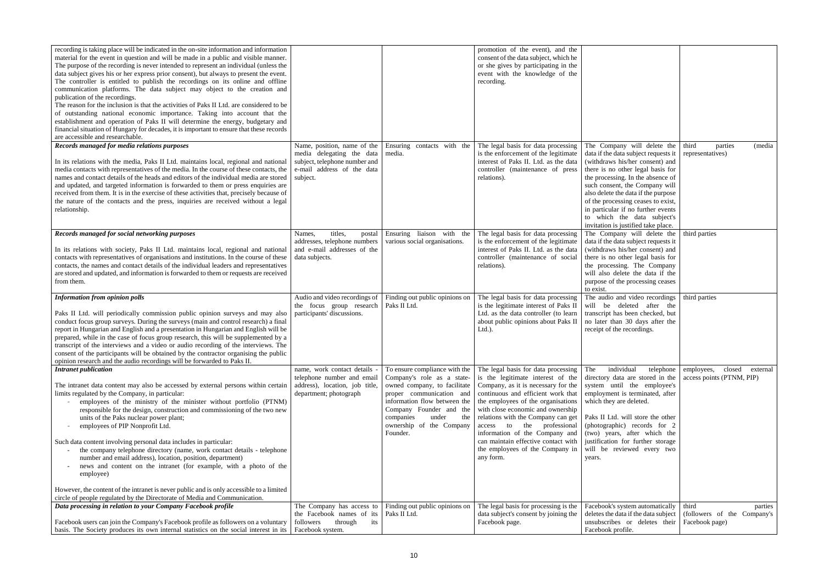| recording is taking place will be indicated in the on-site information and information<br>material for the event in question and will be made in a public and visible manner.<br>The purpose of the recording is never intended to represent an individual (unless the<br>data subject gives his or her express prior consent), but always to present the event.<br>The controller is entitled to publish the recordings on its online and offline<br>communication platforms. The data subject may object to the creation and<br>publication of the recordings.<br>The reason for the inclusion is that the activities of Paks II Ltd. are considered to be<br>of outstanding national economic importance. Taking into account that the<br>establishment and operation of Paks II will determine the energy, budgetary and<br>financial situation of Hungary for decades, it is important to ensure that these records<br>are accessible and researchable. |                                                                                                                                     |                                                                                                                                                                                                                                                         | promotion of the event), and the<br>consent of the data subject, which he<br>or she gives by participating in the<br>event with the knowledge of the<br>recording.                                                                                                                                                                                                                                                            |                                                                                                                                                                                                                                                                                                                                                                                                                   |                                                               |
|--------------------------------------------------------------------------------------------------------------------------------------------------------------------------------------------------------------------------------------------------------------------------------------------------------------------------------------------------------------------------------------------------------------------------------------------------------------------------------------------------------------------------------------------------------------------------------------------------------------------------------------------------------------------------------------------------------------------------------------------------------------------------------------------------------------------------------------------------------------------------------------------------------------------------------------------------------------|-------------------------------------------------------------------------------------------------------------------------------------|---------------------------------------------------------------------------------------------------------------------------------------------------------------------------------------------------------------------------------------------------------|-------------------------------------------------------------------------------------------------------------------------------------------------------------------------------------------------------------------------------------------------------------------------------------------------------------------------------------------------------------------------------------------------------------------------------|-------------------------------------------------------------------------------------------------------------------------------------------------------------------------------------------------------------------------------------------------------------------------------------------------------------------------------------------------------------------------------------------------------------------|---------------------------------------------------------------|
| Records managed for media relations purposes<br>In its relations with the media, Paks II Ltd. maintains local, regional and national<br>media contacts with representatives of the media. In the course of these contacts, the<br>names and contact details of the heads and editors of the individual media are stored<br>and updated, and targeted information is forwarded to them or press enquiries are<br>received from them. It is in the exercise of these activities that, precisely because of<br>the nature of the contacts and the press, inquiries are received without a legal<br>relationship.                                                                                                                                                                                                                                                                                                                                                | Name, position, name of the<br>media delegating the data<br>subject, telephone number and<br>e-mail address of the data<br>subject. | Ensuring contacts with the<br>media.                                                                                                                                                                                                                    | The legal basis for data processing<br>is the enforcement of the legitimate<br>interest of Paks II. Ltd. as the data<br>controller (maintenance of press<br>relations).                                                                                                                                                                                                                                                       | The Company will delete the third<br>data if the data subject requests it<br>(withdraws his/her consent) and<br>there is no other legal basis for<br>the processing. In the absence of<br>such consent, the Company will<br>also delete the data if the purpose<br>of the processing ceases to exist,<br>in particular if no further events<br>to which the data subject's<br>invitation is justified take place. | (media<br>parties<br>representatives)                         |
| Records managed for social networking purposes<br>In its relations with society, Paks II Ltd. maintains local, regional and national<br>contacts with representatives of organisations and institutions. In the course of these<br>contacts, the names and contact details of the individual leaders and representatives<br>are stored and updated, and information is forwarded to them or requests are received<br>from them.                                                                                                                                                                                                                                                                                                                                                                                                                                                                                                                              | titles,<br>Names,<br>postal<br>addresses, telephone numbers<br>and e-mail addresses of the<br>data subjects.                        | Ensuring liaison with the<br>various social organisations.                                                                                                                                                                                              | The legal basis for data processing<br>is the enforcement of the legitimate<br>interest of Paks II. Ltd. as the data<br>controller (maintenance of social<br>relations).                                                                                                                                                                                                                                                      | The Company will delete the third parties<br>data if the data subject requests it<br>(withdraws his/her consent) and<br>there is no other legal basis for<br>the processing. The Company<br>will also delete the data if the<br>purpose of the processing ceases<br>to exist.                                                                                                                                     |                                                               |
| <b>Information from opinion polls</b><br>Paks II Ltd. will periodically commission public opinion surveys and may also<br>conduct focus group surveys. During the surveys (main and control research) a final<br>report in Hungarian and English and a presentation in Hungarian and English will be<br>prepared, while in the case of focus group research, this will be supplemented by a<br>transcript of the interviews and a video or audio recording of the interviews. The<br>consent of the participants will be obtained by the contractor organising the public<br>opinion research and the audio recordings will be forwarded to Paks II.                                                                                                                                                                                                                                                                                                         | Audio and video recordings of<br>the focus group research   Paks II Ltd.<br>participants' discussions.                              | Finding out public opinions on                                                                                                                                                                                                                          | The legal basis for data processing<br>is the legitimate interest of Paks II<br>Ltd. as the data controller (to learn<br>about public opinions about Paks II<br>$Ltd.$ ).                                                                                                                                                                                                                                                     | The audio and video recordings   third parties<br>will be deleted after the<br>transcript has been checked, but<br>no later than 30 days after the<br>receipt of the recordings.                                                                                                                                                                                                                                  |                                                               |
| <b>Intranet publication</b><br>The intranet data content may also be accessed by external persons within certain<br>limits regulated by the Company, in particular:<br>employees of the ministry of the minister without portfolio (PTNM)<br>responsible for the design, construction and commissioning of the two new<br>units of the Paks nuclear power plant;<br>employees of PIP Nonprofit Ltd.<br>Such data content involving personal data includes in particular:<br>the company telephone directory (name, work contact details - telephone<br>number and email address), location, position, department)<br>news and content on the intranet (for example, with a photo of the<br>employee)                                                                                                                                                                                                                                                         | name, work contact details -<br>telephone number and email<br>address), location, job title,<br>department; photograph              | To ensure compliance with the<br>Company's role as a state-<br>owned company, to facilitate<br>proper communication and<br>information flow between the<br>Company Founder and the<br>companies<br>under<br>the<br>ownership of the Company<br>Founder. | The legal basis for data processing<br>is the legitimate interest of the<br>Company, as it is necessary for the<br>continuous and efficient work that<br>the employees of the organisations<br>with close economic and ownership<br>relations with the Company can get<br>access to the professional<br>information of the Company and<br>can maintain effective contact with<br>the employees of the Company in<br>any form. | individual<br>The<br>telephone<br>directory data are stored in the<br>system until the employee's<br>employment is terminated, after<br>which they are deleted.<br>Paks II Ltd. will store the other<br>(photographic) records for 2<br>(two) years, after which the<br>justification for further storage<br>will be reviewed every two<br>years.                                                                 | closed<br>employees,<br>external<br>access points (PTNM, PIP) |
| However, the content of the intranet is never public and is only accessible to a limited<br>circle of people regulated by the Directorate of Media and Communication.                                                                                                                                                                                                                                                                                                                                                                                                                                                                                                                                                                                                                                                                                                                                                                                        | The Company has access to                                                                                                           | Finding out public opinions on                                                                                                                                                                                                                          | The legal basis for processing is the                                                                                                                                                                                                                                                                                                                                                                                         | Facebook's system automatically                                                                                                                                                                                                                                                                                                                                                                                   | third<br>parties                                              |
| Data processing in relation to your Company Facebook profile                                                                                                                                                                                                                                                                                                                                                                                                                                                                                                                                                                                                                                                                                                                                                                                                                                                                                                 |                                                                                                                                     |                                                                                                                                                                                                                                                         |                                                                                                                                                                                                                                                                                                                                                                                                                               |                                                                                                                                                                                                                                                                                                                                                                                                                   |                                                               |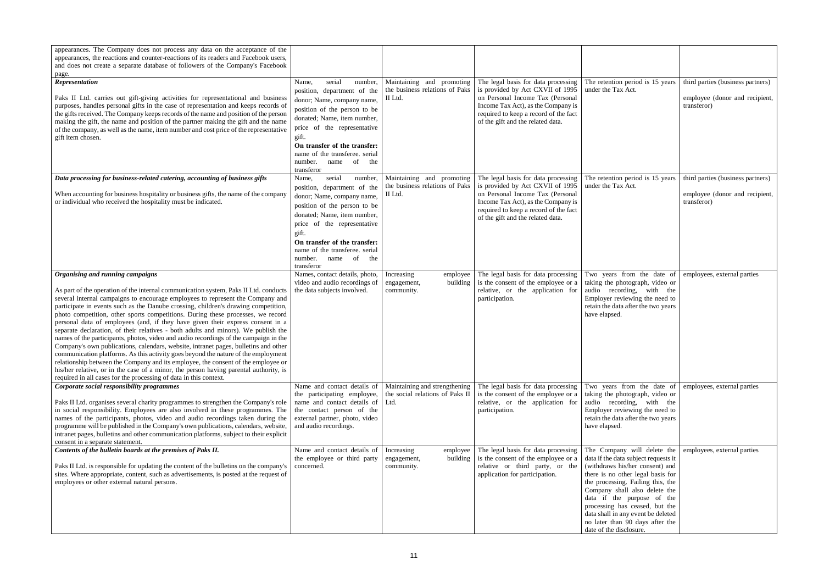| appearances. The Company does not process any data on the acceptance of the<br>appearances, the reactions and counter-reactions of its readers and Facebook users,<br>and does not create a separate database of followers of the Company's Facebook<br>page.                                                                                                                                                                                                                                                                                                                                                                                                                                                                                                                                                                                                                                                                                                                                                                                                                       |                                                                                                                                                                                                                                                                                                                |                                                                          |                                                                                                                                                                                                                                 |                                                                                                                                                                                                                                                                                                                                                                                       |                                                                                    |
|-------------------------------------------------------------------------------------------------------------------------------------------------------------------------------------------------------------------------------------------------------------------------------------------------------------------------------------------------------------------------------------------------------------------------------------------------------------------------------------------------------------------------------------------------------------------------------------------------------------------------------------------------------------------------------------------------------------------------------------------------------------------------------------------------------------------------------------------------------------------------------------------------------------------------------------------------------------------------------------------------------------------------------------------------------------------------------------|----------------------------------------------------------------------------------------------------------------------------------------------------------------------------------------------------------------------------------------------------------------------------------------------------------------|--------------------------------------------------------------------------|---------------------------------------------------------------------------------------------------------------------------------------------------------------------------------------------------------------------------------|---------------------------------------------------------------------------------------------------------------------------------------------------------------------------------------------------------------------------------------------------------------------------------------------------------------------------------------------------------------------------------------|------------------------------------------------------------------------------------|
| Representation<br>Paks II Ltd. carries out gift-giving activities for representational and business<br>purposes, handles personal gifts in the case of representation and keeps records of<br>the gifts received. The Company keeps records of the name and position of the person<br>making the gift, the name and position of the partner making the gift and the name<br>of the company, as well as the name, item number and cost price of the representative<br>gift item chosen.                                                                                                                                                                                                                                                                                                                                                                                                                                                                                                                                                                                              | serial<br>number,<br>Name,<br>position, department of the<br>donor; Name, company name,<br>position of the person to be<br>donated; Name, item number,<br>price of the representative<br>gift.<br>On transfer of the transfer:<br>name of the transferee. serial<br>name of<br>number.<br>the<br>transferor    | Maintaining and promoting<br>the business relations of Paks<br>II Ltd.   | The legal basis for data processing<br>is provided by Act CXVII of 1995<br>on Personal Income Tax (Personal<br>Income Tax Act), as the Company is<br>required to keep a record of the fact<br>of the gift and the related data. | The retention period is 15 years<br>under the Tax Act.                                                                                                                                                                                                                                                                                                                                | third parties (business partners)<br>employee (donor and recipient,<br>transferor) |
| Data processing for business-related catering, accounting of business gifts<br>When accounting for business hospitality or business gifts, the name of the company<br>or individual who received the hospitality must be indicated.                                                                                                                                                                                                                                                                                                                                                                                                                                                                                                                                                                                                                                                                                                                                                                                                                                                 | serial<br>number,<br>Name,<br>position, department of the<br>donor; Name, company name,<br>position of the person to be<br>donated; Name, item number,<br>price of the representative<br>gift.<br>On transfer of the transfer:<br>name of the transferee. serial<br>number.<br>of<br>name<br>the<br>transferor | Maintaining and promoting<br>the business relations of Paks<br>II Ltd.   | The legal basis for data processing<br>is provided by Act CXVII of 1995<br>on Personal Income Tax (Personal<br>Income Tax Act), as the Company is<br>required to keep a record of the fact<br>of the gift and the related data. | The retention period is 15 years<br>under the Tax Act.                                                                                                                                                                                                                                                                                                                                | third parties (business partners)<br>employee (donor and recipient,<br>transferor) |
| Organising and running campaigns<br>As part of the operation of the internal communication system, Paks II Ltd. conducts<br>several internal campaigns to encourage employees to represent the Company and<br>participate in events such as the Danube crossing, children's drawing competition,<br>photo competition, other sports competitions. During these processes, we record<br>personal data of employees (and, if they have given their express consent in a<br>separate declaration, of their relatives - both adults and minors). We publish the<br>names of the participants, photos, video and audio recordings of the campaign in the<br>Company's own publications, calendars, website, intranet pages, bulletins and other<br>communication platforms. As this activity goes beyond the nature of the employment<br>relationship between the Company and its employee, the consent of the employee or<br>his/her relative, or in the case of a minor, the person having parental authority, is<br>required in all cases for the processing of data in this context. | Names, contact details, photo,<br>video and audio recordings of<br>the data subjects involved.                                                                                                                                                                                                                 | Increasing<br>employee<br>building<br>engagement,<br>community.          | The legal basis for data processing<br>is the consent of the employee or a<br>relative, or the application for<br>participation.                                                                                                | Two years from the date of employees, external parties<br>taking the photograph, video or<br>audio recording, with the<br>Employer reviewing the need to<br>retain the data after the two years<br>have elapsed.                                                                                                                                                                      |                                                                                    |
| Corporate social responsibility programmes<br>Paks II Ltd. organises several charity programmes to strengthen the Company's role   name and contact details of<br>in social responsibility. Employees are also involved in these programmes. The<br>names of the participants, photos, video and audio recordings taken during the<br>programme will be published in the Company's own publications, calendars, website,<br>intranet pages, bulletins and other communication platforms, subject to their explicit<br>consent in a separate statement.                                                                                                                                                                                                                                                                                                                                                                                                                                                                                                                              | Name and contact details of<br>the participating employee,<br>the contact person of the<br>external partner, photo, video<br>and audio recordings.                                                                                                                                                             | Maintaining and strengthening<br>the social relations of Paks II<br>Ltd. | The legal basis for data processing<br>is the consent of the employee or a<br>relative, or the application for<br>participation.                                                                                                | Two years from the date of employees, external parties<br>taking the photograph, video or<br>audio recording, with the<br>Employer reviewing the need to<br>retain the data after the two years<br>have elapsed.                                                                                                                                                                      |                                                                                    |
| Contents of the bulletin boards at the premises of Paks II.<br>Paks II Ltd. is responsible for updating the content of the bulletins on the company's<br>sites. Where appropriate, content, such as advertisements, is posted at the request of<br>employees or other external natural persons.                                                                                                                                                                                                                                                                                                                                                                                                                                                                                                                                                                                                                                                                                                                                                                                     | Name and contact details of<br>the employee or third party<br>concerned.                                                                                                                                                                                                                                       | Increasing<br>employee<br>building<br>engagement,<br>community.          | The legal basis for data processing<br>is the consent of the employee or a<br>relative or third party, or the<br>application for participation.                                                                                 | The Company will delete the<br>data if the data subject requests it<br>(withdraws his/her consent) and<br>there is no other legal basis for<br>the processing. Failing this, the<br>Company shall also delete the<br>data if the purpose of the<br>processing has ceased, but the<br>data shall in any event be deleted<br>no later than 90 days after the<br>date of the disclosure. | employees, external parties                                                        |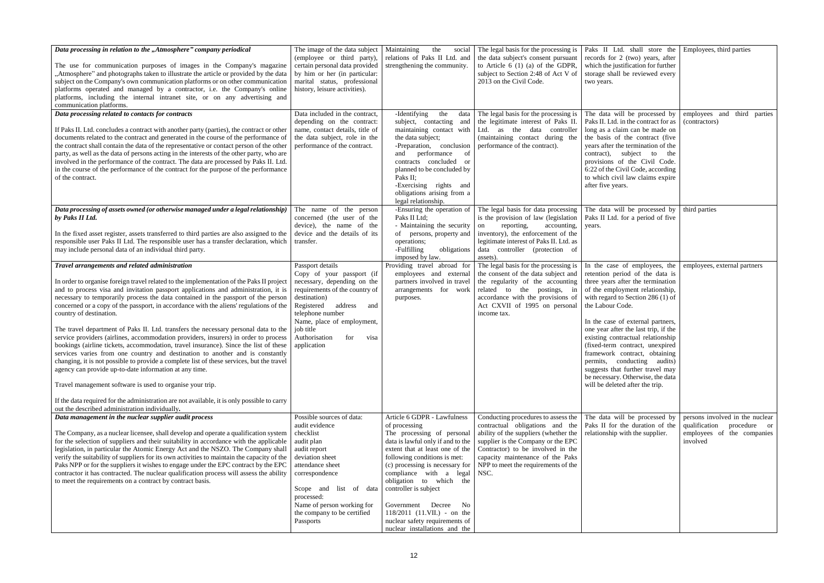| Data processing in relation to the "Atmosphere" company periodical<br>The use for communication purposes of images in the Company's magazine<br>"Atmosphere" and photographs taken to illustrate the article or provided by the data<br>subject on the Company's own communication platforms or on other communication<br>platforms operated and managed by a contractor, i.e. the Company's online<br>platforms, including the internal intranet site, or on any advertising and<br>communication platforms.<br>Data processing related to contacts for contracts                                                                                                                                                                                                                                                                                                                                                                                                                                                                                                                                                                                                     | The image of the data subject<br>(employee or third party),<br>certain personal data provided<br>by him or her (in particular:<br>marital status, professional<br>history, leisure activities).<br>Data included in the contract,                                            | Maintaining<br>the<br>social  <br>relations of Paks II Ltd. and<br>strengthening the community.<br>-Identifying<br>the<br>data                                                                                                                                                                                                                                                                                                       | The legal basis for the processing is<br>the data subject's consent pursuant<br>to Article $6(1)(a)$ of the GDPR,<br>subject to Section 2:48 of Act V of<br>2013 on the Civil Code.<br>The legal basis for the processing is                                                  | Paks II Ltd. shall store the Employees, third parties<br>records for 2 (two) years, after<br>which the justification for further<br>storage shall be reviewed every<br>two years.<br>The data will be processed by                                                                                                                                                                                                                                                                                                                 | employees and third parties                                                                                |
|------------------------------------------------------------------------------------------------------------------------------------------------------------------------------------------------------------------------------------------------------------------------------------------------------------------------------------------------------------------------------------------------------------------------------------------------------------------------------------------------------------------------------------------------------------------------------------------------------------------------------------------------------------------------------------------------------------------------------------------------------------------------------------------------------------------------------------------------------------------------------------------------------------------------------------------------------------------------------------------------------------------------------------------------------------------------------------------------------------------------------------------------------------------------|------------------------------------------------------------------------------------------------------------------------------------------------------------------------------------------------------------------------------------------------------------------------------|--------------------------------------------------------------------------------------------------------------------------------------------------------------------------------------------------------------------------------------------------------------------------------------------------------------------------------------------------------------------------------------------------------------------------------------|-------------------------------------------------------------------------------------------------------------------------------------------------------------------------------------------------------------------------------------------------------------------------------|------------------------------------------------------------------------------------------------------------------------------------------------------------------------------------------------------------------------------------------------------------------------------------------------------------------------------------------------------------------------------------------------------------------------------------------------------------------------------------------------------------------------------------|------------------------------------------------------------------------------------------------------------|
| If Paks II. Ltd. concludes a contract with another party (parties), the contract or other<br>documents related to the contract and generated in the course of the performance of<br>the contract shall contain the data of the representative or contact person of the other<br>party, as well as the data of persons acting in the interests of the other party, who are<br>involved in the performance of the contract. The data are processed by Paks II. Ltd.<br>in the course of the performance of the contract for the purpose of the performance<br>of the contract.                                                                                                                                                                                                                                                                                                                                                                                                                                                                                                                                                                                           | depending on the contract:<br>name, contact details, title of<br>the data subject, role in the<br>performance of the contract.                                                                                                                                               | subject, contacting and<br>maintaining contact with<br>the data subject;<br>-Preparation, conclusion<br>performance<br>of<br>and<br>contracts concluded or<br>planned to be concluded by<br>Paks II;<br>-Exercising rights and<br>obligations arising from a<br>legal relationship.                                                                                                                                                  | the legitimate interest of Paks II.<br>Ltd. as the data controller<br>(maintaining contact during the<br>performance of the contract).                                                                                                                                        | Paks II. Ltd. in the contract for as<br>long as a claim can be made on<br>the basis of the contract (five<br>years after the termination of the<br>contract), subject to<br>the<br>provisions of the Civil Code.<br>6:22 of the Civil Code, according<br>to which civil law claims expire<br>after five years.                                                                                                                                                                                                                     | (contractors)                                                                                              |
| Data processing of assets owned (or otherwise managed under a legal relationship)<br>by Paks II Ltd.<br>In the fixed asset register, assets transferred to third parties are also assigned to the<br>responsible user Paks II Ltd. The responsible user has a transfer declaration, which<br>may include personal data of an individual third party.                                                                                                                                                                                                                                                                                                                                                                                                                                                                                                                                                                                                                                                                                                                                                                                                                   | The name of the person<br>concerned (the user of the<br>device), the name of the<br>device and the details of its<br>transfer.                                                                                                                                               | -Ensuring the operation of<br>Paks II Ltd;<br>- Maintaining the security<br>of persons, property and<br>operations;<br>-Fulfilling<br>obligations<br>imposed by law.                                                                                                                                                                                                                                                                 | The legal basis for data processing<br>is the provision of law (legislation<br>reporting,<br>accounting,<br>on<br>inventory), the enforcement of the<br>legitimate interest of Paks II. Ltd. as<br>data controller (protection of<br>assets)                                  | The data will be processed by<br>Paks II Ltd. for a period of five<br>years.                                                                                                                                                                                                                                                                                                                                                                                                                                                       | third parties                                                                                              |
| Travel arrangements and related administration<br>In order to organise foreign travel related to the implementation of the Paks II project<br>and to process visa and invitation passport applications and administration, it is<br>necessary to temporarily process the data contained in the passport of the person<br>concerned or a copy of the passport, in accordance with the aliens' regulations of the<br>country of destination.<br>The travel department of Paks II. Ltd. transfers the necessary personal data to the<br>service providers (airlines, accommodation providers, insurers) in order to process<br>bookings (airline tickets, accommodation, travel insurance). Since the list of these<br>services varies from one country and destination to another and is constantly<br>changing, it is not possible to provide a complete list of these services, but the travel<br>agency can provide up-to-date information at any time.<br>Travel management software is used to organise your trip.<br>If the data required for the administration are not available, it is only possible to carry<br>out the described administration individually. | Passport details<br>Copy of your passport (if<br>necessary, depending on the<br>requirements of the country of<br>destination)<br>Registered<br>address<br>and<br>telephone number<br>Name, place of employment,<br>job title<br>Authorisation<br>for<br>visa<br>application | Providing travel abroad for<br>employees and external<br>partners involved in travel<br>arrangements for work<br>purposes.                                                                                                                                                                                                                                                                                                           | The legal basis for the processing is<br>the consent of the data subject and<br>the regularity of the accounting<br>related to the postings, in<br>accordance with the provisions of<br>Act CXVII of 1995 on personal<br>income tax.                                          | In the case of employees, the<br>retention period of the data is<br>three years after the termination<br>of the employment relationship,<br>with regard to Section 286 (1) of<br>the Labour Code.<br>In the case of external partners,<br>one year after the last trip, if the<br>existing contractual relationship<br>(fixed-term contract, unexpired<br>framework contract, obtaining<br>permits, conducting audits)<br>suggests that further travel may<br>be necessary. Otherwise, the data<br>will be deleted after the trip. | employees, external partners                                                                               |
| Data management in the nuclear supplier audit process<br>The Company, as a nuclear licensee, shall develop and operate a qualification system<br>for the selection of suppliers and their suitability in accordance with the applicable<br>legislation, in particular the Atomic Energy Act and the NSZO. The Company shall<br>verify the suitability of suppliers for its own activities to maintain the capacity of the<br>Paks NPP or for the suppliers it wishes to engage under the EPC contract by the EPC<br>contractor it has contracted. The nuclear qualification process will assess the ability<br>to meet the requirements on a contract by contract basis.                                                                                                                                                                                                                                                                                                                                                                                                                                                                                               | Possible sources of data:<br>audit evidence<br>checklist<br>audit plan<br>audit report<br>deviation sheet<br>attendance sheet<br>correspondence<br>Scope and list<br>of data<br>processed:<br>Name of person working for<br>the company to be certified<br>Passports         | Article 6 GDPR - Lawfulness<br>of processing<br>The processing of personal<br>data is lawful only if and to the<br>extent that at least one of the<br>following conditions is met:<br>(c) processing is necessary for<br>compliance with a legal<br>obligation to which the<br>controller is subject<br>Government<br>Decree<br>No<br>118/2011 (11.VII.) - on the<br>nuclear safety requirements of<br>nuclear installations and the | Conducting procedures to assess the<br>contractual obligations and the<br>ability of the suppliers (whether the<br>supplier is the Company or the EPC<br>Contractor) to be involved in the<br>capacity maintenance of the Paks<br>NPP to meet the requirements of the<br>NSC. | The data will be processed by<br>Paks II for the duration of the<br>relationship with the supplier.                                                                                                                                                                                                                                                                                                                                                                                                                                | persons involved in the nuclear<br>qualification<br>procedure or<br>employees of the companies<br>involved |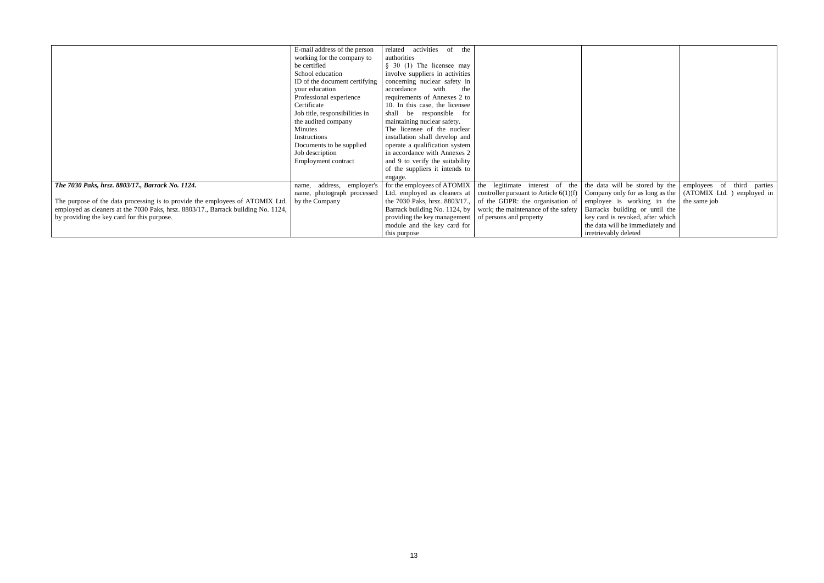|                                                                                   | E-mail address of the person   | related activities<br>of<br>the |                                                                       |                                                           |                            |
|-----------------------------------------------------------------------------------|--------------------------------|---------------------------------|-----------------------------------------------------------------------|-----------------------------------------------------------|----------------------------|
|                                                                                   | working for the company to     | authorities                     |                                                                       |                                                           |                            |
|                                                                                   |                                |                                 |                                                                       |                                                           |                            |
|                                                                                   | be certified                   | $§$ 30 (1) The licensee may     |                                                                       |                                                           |                            |
|                                                                                   | School education               | involve suppliers in activities |                                                                       |                                                           |                            |
|                                                                                   | ID of the document certifying  | concerning nuclear safety in    |                                                                       |                                                           |                            |
|                                                                                   | your education                 | accordance<br>with<br>the       |                                                                       |                                                           |                            |
|                                                                                   | Professional experience        | requirements of Annexes 2 to    |                                                                       |                                                           |                            |
|                                                                                   | Certificate                    | 10. In this case, the licensee  |                                                                       |                                                           |                            |
|                                                                                   | Job title, responsibilities in | shall be responsible for        |                                                                       |                                                           |                            |
|                                                                                   | the audited company            | maintaining nuclear safety.     |                                                                       |                                                           |                            |
|                                                                                   | Minutes                        | The licensee of the nuclear     |                                                                       |                                                           |                            |
|                                                                                   | Instructions                   | installation shall develop and  |                                                                       |                                                           |                            |
|                                                                                   | Documents to be supplied       | operate a qualification system  |                                                                       |                                                           |                            |
|                                                                                   | Job description                | in accordance with Annexes 2    |                                                                       |                                                           |                            |
|                                                                                   | Employment contract            | and 9 to verify the suitability |                                                                       |                                                           |                            |
|                                                                                   |                                | of the suppliers it intends to  |                                                                       |                                                           |                            |
|                                                                                   |                                | engage.                         |                                                                       |                                                           |                            |
| The 7030 Paks, hrsz. 8803/17., Barrack No. 1124.                                  | address, employer's<br>name,   | for the employees of ATOMIX     | the legitimate interest of the                                        | the data will be stored by the                            | employees of third parties |
|                                                                                   | name, photograph processed     |                                 | Ltd. employed as cleaners at controller pursuant to Article $6(1)(f)$ | Company only for as long as the (ATOMIX Ltd.) employed in |                            |
| The purpose of the data processing is to provide the employees of ATOMIX Ltd      | by the Company                 |                                 | the 7030 Paks, hrsz. $8803/17$ ., of the GDPR: the organisation of    | employee is working in the                                | the same job               |
| employed as cleaners at the 7030 Paks, hrsz. 8803/17., Barrack building No. 1124, |                                | Barrack building No. 1124, by   | work; the maintenance of the safety                                   | Barracks building or until the                            |                            |
| by providing the key card for this purpose.                                       |                                | providing the key management    | of persons and property                                               | key card is revoked, after which                          |                            |
|                                                                                   |                                | module and the key card for     |                                                                       | the data will be immediately and                          |                            |
|                                                                                   |                                | this purpose                    |                                                                       | irretrievably deleted                                     |                            |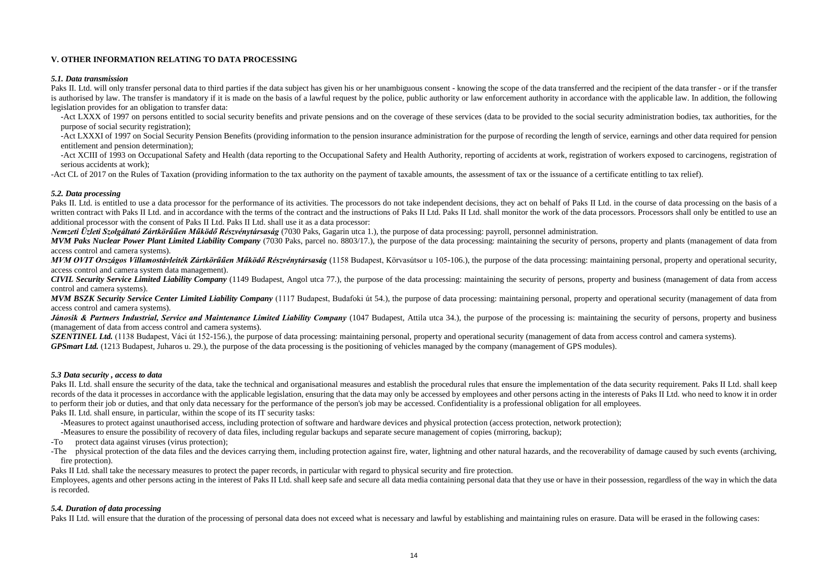# **V. OTHER INFORMATION RELATING TO DATA PROCESSING**

#### *5.1. Data transmission*

Paks II. Ltd, will only transfer personal data to third parties if the data subject has given his or her unambiguous consent - knowing the scope of the data transferred and the recipient of the data transfer - or if the tr is authorised by law. The transfer is mandatory if it is made on the basis of a lawful request by the police, public authority or law enforcement authority in accordance with the applicable law. In addition, the following legislation provides for an obligation to transfer data:

-Act LXXX of 1997 on persons entitled to social security benefits and private pensions and on the coverage of these services (data to be provided to the social security administration bodies, tax authorities, for the purpose of social security registration);

-Act XCIII of 1993 on Occupational Safety and Health (data reporting to the Occupational Safety and Health Authority, reporting of accidents at work, registration of workers exposed to carcinogens, registration of serious accidents at work);

-Act CL of 2017 on the Rules of Taxation (providing information to the tax authority on the payment of taxable amounts, the assessment of tax or the issuance of a certificate entitling to tax relief).

-Act LXXXI of 1997 on Social Security Pension Benefits (providing information to the pension insurance administration for the purpose of recording the length of service, earnings and other data required for pension entitlement and pension determination);

Paks II. Ltd. is entitled to use a data processor for the performance of its activities. The processors do not take independent decisions, they act on behalf of Paks II Ltd. in the course of data processing on the basis of written contract with Paks II Ltd. and in accordance with the terms of the contract and the instructions of Paks II Ltd. Paks II Ltd. shall monitor the work of the data processors. Processors shall only be entitled to use additional processor with the consent of Paks II Ltd. Paks II Ltd. shall use it as a data processor:

*MVM Paks Nuclear Power Plant Limited Liability Company* (7030 Paks, parcel no. 8803/17.), the purpose of the data processing: maintaining the security of persons, property and plants (management of data from access control and camera systems).

*MVM OVIT Országos Villamostávleiték Zártkörűűen Működő Részvénytársaság* (1158 Budapest, Körvasútsor u 105-106.), the purpose of the data processing: maintaining personal, property and operational security, access control and camera system data management).

### *5.2. Data processing*

*MVM BSZK Security Service Center Limited Liability Company* (1117 Budapest, Budafoki út 54.), the purpose of data processing: maintaining personal, property and operational security (management of data from access control and camera systems).

Jánosik & Partners Industrial, Service and Maintenance Limited Liability Company (1047 Budapest, Attila utca 34.), the purpose of the processing is: maintaining the security of persons, property and business (management of data from access control and camera systems).

**SZENTINEL Ltd.** (1138 Budapest, Váci út 152-156.), the purpose of data processing: maintaining personal, property and operational security (management of data from access control and camera systems). *GPSmart Ltd.* (1213 Budapest, Juharos u. 29.), the purpose of the data processing is the positioning of vehicles managed by the company (management of GPS modules).

*Nemzeti Üzleti Szolgáltató Zártkörűűen Működő Részvénytársaság* (7030 Paks, Gagarin utca 1.), the purpose of data processing: payroll, personnel administration.

Paks II. Ltd. shall ensure the security of the data, take the technical and organisational measures and establish the procedural rules that ensure the implementation of the data security requirement. Paks II Ltd. shall kee records of the data it processes in accordance with the applicable legislation, ensuring that the data may only be accessed by employees and other persons acting in the interests of Paks II Ltd. who need to know it in order to perform their job or duties, and that only data necessary for the performance of the person's job may be accessed. Confidentiality is a professional obligation for all employees. Paks II. Ltd. shall ensure, in particular, within the scope of its IT security tasks:

-The physical protection of the data files and the devices carrying them, including protection against fire, water, lightning and other natural hazards, and the recoverability of damage caused by such events (archiving, fire protection).

*CIVIL Security Service Limited Liability Company* (1149 Budapest, Angol utca 77.), the purpose of the data processing: maintaining the security of persons, property and business (management of data from access control and camera systems).

### *5.3 Data security , access to data*

-Measures to protect against unauthorised access, including protection of software and hardware devices and physical protection (access protection, network protection); -Measures to ensure the possibility of recovery of data files, including regular backups and separate secure management of copies (mirroring, backup);

-To protect data against viruses (virus protection);

Paks II Ltd. shall take the necessary measures to protect the paper records, in particular with regard to physical security and fire protection.

Employees, agents and other persons acting in the interest of Paks II Ltd. shall keep safe and secure all data media containing personal data that they use or have in their possession, regardless of the way in which the data is recorded.

# *5.4. Duration of data processing*

Paks II Ltd. will ensure that the duration of the processing of personal data does not exceed what is necessary and lawful by establishing and maintaining rules on erasure. Data will be erased in the following cases: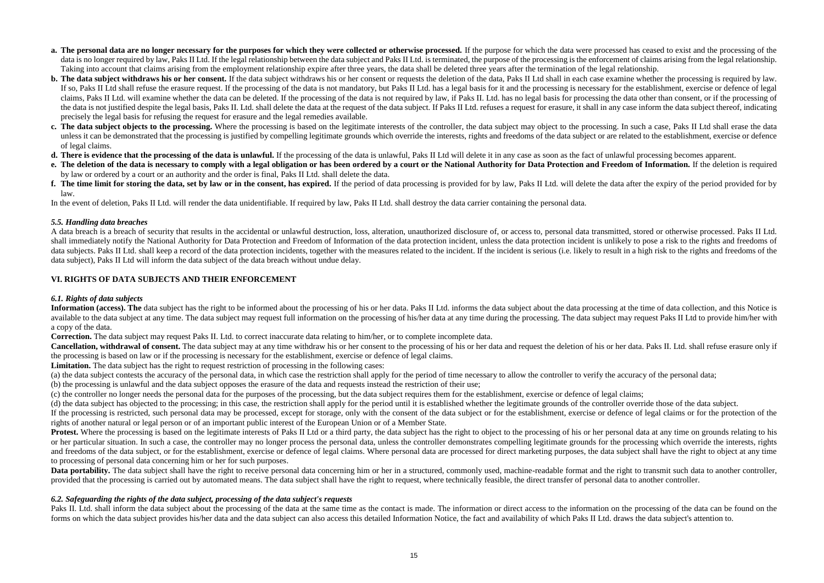- **a.** The personal data are no longer necessary for the purposes for which they were collected or otherwise processed. If the purpose for which the data were processed has ceased to exist and the processing of the data is no longer required by law, Paks II Ltd. If the legal relationship between the data subject and Paks II Ltd. is terminated, the purpose of the processing is the enforcement of claims arising from the legal relations Taking into account that claims arising from the employment relationship expire after three years, the data shall be deleted three years after the termination of the legal relationship.
- **b.** The data subject withdraws his or her consent. If the data subject withdraws his or her consent or requests the deletion of the data, Paks II Ltd shall in each case examine whether the processing is required by law. If so, Paks II Ltd shall refuse the erasure request. If the processing of the data is not mandatory, but Paks II Ltd. has a legal basis for it and the processing is necessary for the establishment, exercise or defence of l claims, Paks II Ltd. will examine whether the data can be deleted. If the processing of the data is not required by law, if Paks II. Ltd. has no legal basis for processing the data other than consent, or if the processing of the data is not justified despite the legal basis, Paks II. Ltd. shall delete the data at the request of the data subject. If Paks II Ltd. refuses a request for erasure, it shall in any case inform the data subject thereof precisely the legal basis for refusing the request for erasure and the legal remedies available.
- c. The data subject objects to the processing. Where the processing is based on the legitimate interests of the controller, the data subject may object to the processing. In such a case, Paks II Ltd shall erase the data unless it can be demonstrated that the processing is justified by compelling legitimate grounds which override the interests, rights and freedoms of the data subject or are related to the establishment, exercise or defence of legal claims.
- **d. There is evidence that the processing of the data is unlawful.** If the processing of the data is unlawful, Paks II Ltd will delete it in any case as soon as the fact of unlawful processing becomes apparent.
- **e. The deletion of the data is necessary to comply with a legal obligation or has been ordered by a court or the National Authority for Data Protection and Freedom of Information.** If the deletion is required by law or ordered by a court or an authority and the order is final, Paks II Ltd. shall delete the data.
- f. The time limit for storing the data, set by law or in the consent, has expired. If the period of data processing is provided for by law, Paks II Ltd. will delete the data after the expiry of the period provided for by law.

In the event of deletion, Paks II Ltd. will render the data unidentifiable. If required by law, Paks II Ltd. shall destroy the data carrier containing the personal data.

Information (access). The data subject has the right to be informed about the processing of his or her data. Paks II Ltd. informs the data subject about the data processing at the time of data collection, and this Notice i available to the data subject at any time. The data subject may request full information on the processing of his/her data any time during the processing. The data subject may request Paks II Ltd to provide him/her with a copy of the data.

Cancellation, withdrawal of consent. The data subject may at any time withdraw his or her consent to the processing of his or her data and request the deletion of his or her data. Paks II. Ltd. shall refuse erasure only if the processing is based on law or if the processing is necessary for the establishment, exercise or defence of legal claims.

Limitation. The data subject has the right to request restriction of processing in the following cases:

# *5.5. Handling data breaches*

Protest. Where the processing is based on the legitimate interests of Paks II Ltd or a third party, the data subject has the right to object to the processing of his or her personal data at any time on grounds relating to or her particular situation. In such a case, the controller may no longer process the personal data, unless the controller demonstrates compelling legitimate grounds for the processing which override the interests, rights and freedoms of the data subject, or for the establishment, exercise or defence of legal claims. Where personal data are processed for direct marketing purposes, the data subject shall have the right to object at any time to processing of personal data concerning him or her for such purposes.

A data breach is a breach of security that results in the accidental or unlawful destruction, loss, alteration, unauthorized disclosure of, or access to, personal data transmitted, stored or otherwise processed. Paks II Ltd. shall immediately notify the National Authority for Data Protection and Freedom of Information of the data protection incident, unless the data protection incident is unlikely to pose a risk to the rights and freedoms of data subjects. Paks II Ltd, shall keep a record of the data protection incidents, together with the measures related to the incident. If the incident is serious (i.e. likely to result in a high risk to the rights and freed data subject), Paks II Ltd will inform the data subject of the data breach without undue delay.

**Data portability.** The data subject shall have the right to receive personal data concerning him or her in a structured, commonly used, machine-readable format and the right to transmit such data to another controller, provided that the processing is carried out by automated means. The data subject shall have the right to request, where technically feasible, the direct transfer of personal data to another controller.

# **VI. RIGHTS OF DATA SUBJECTS AND THEIR ENFORCEMENT**

Paks II. Ltd. shall inform the data subject about the processing of the data at the same time as the contact is made. The information or direct access to the information on the processing of the data can be found on the forms on which the data subject provides his/her data and the data subject can also access this detailed Information Notice, the fact and availability of which Paks II Ltd. draws the data subject's attention to.

# *6.1. Rights of data subjects*

**Correction.** The data subject may request Paks II. Ltd. to correct inaccurate data relating to him/her, or to complete incomplete data.

(a) the data subject contests the accuracy of the personal data, in which case the restriction shall apply for the period of time necessary to allow the controller to verify the accuracy of the personal data; (b) the processing is unlawful and the data subject opposes the erasure of the data and requests instead the restriction of their use;

(c) the controller no longer needs the personal data for the purposes of the processing, but the data subject requires them for the establishment, exercise or defence of legal claims; (d) the data subject has objected to the processing; in this case, the restriction shall apply for the period until it is established whether the legitimate grounds of the controller override those of the data subject. If the processing is restricted, such personal data may be processed, except for storage, only with the consent of the data subject or for the establishment, exercise or defence of legal claims or for the protection of the rights of another natural or legal person or of an important public interest of the European Union or of a Member State.

# *6.2. Safeguarding the rights of the data subject, processing of the data subject's requests*